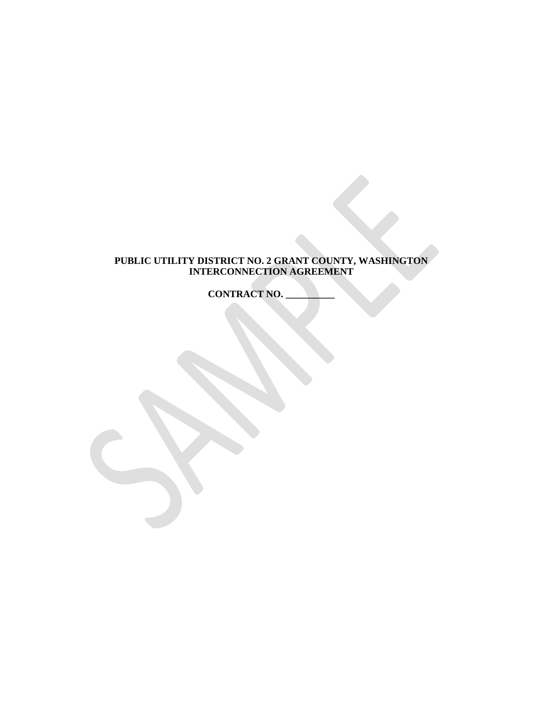## **PUBLIC UTILITY DISTRICT NO. 2 GRANT COUNTY, WASHINGTON INTERCONNECTION AGREEMENT**

**CONTRACT NO.**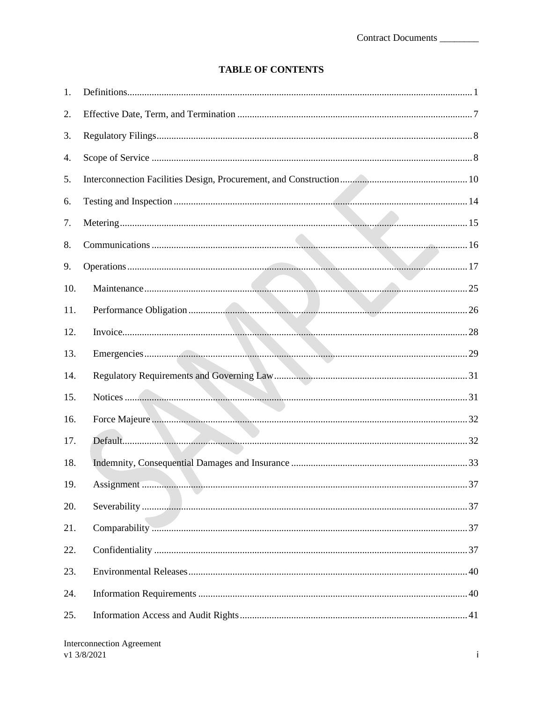## **TABLE OF CONTENTS**

| 1.  |  |
|-----|--|
| 2.  |  |
| 3.  |  |
| 4.  |  |
| 5.  |  |
| 6.  |  |
| 7.  |  |
| 8.  |  |
| 9.  |  |
| 10. |  |
| 11. |  |
| 12. |  |
|     |  |
| 13. |  |
| 14. |  |
| 15. |  |
| 16. |  |
| 17. |  |
| 18. |  |
| 19. |  |
| 20. |  |
| 21. |  |
| 22. |  |
| 23. |  |
| 24. |  |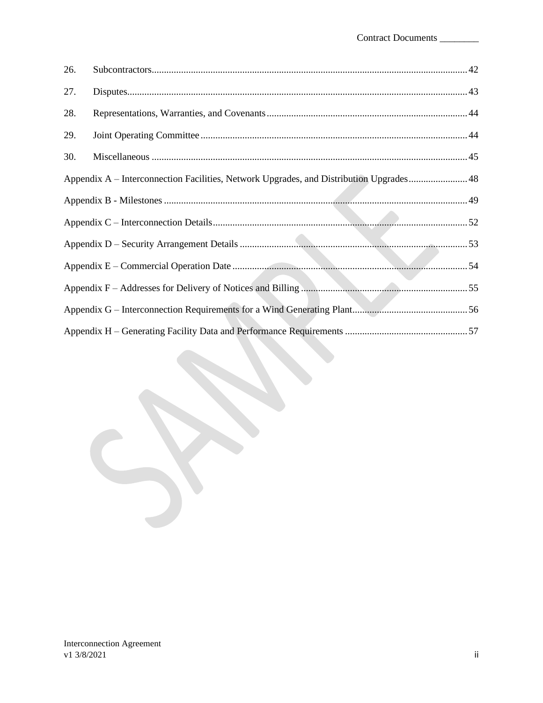| 26. |                                                                                         |  |
|-----|-----------------------------------------------------------------------------------------|--|
| 27. |                                                                                         |  |
| 28. |                                                                                         |  |
| 29. |                                                                                         |  |
| 30. |                                                                                         |  |
|     | Appendix A – Interconnection Facilities, Network Upgrades, and Distribution Upgrades 48 |  |
|     |                                                                                         |  |
|     |                                                                                         |  |
|     |                                                                                         |  |
|     |                                                                                         |  |
|     |                                                                                         |  |
|     |                                                                                         |  |
|     |                                                                                         |  |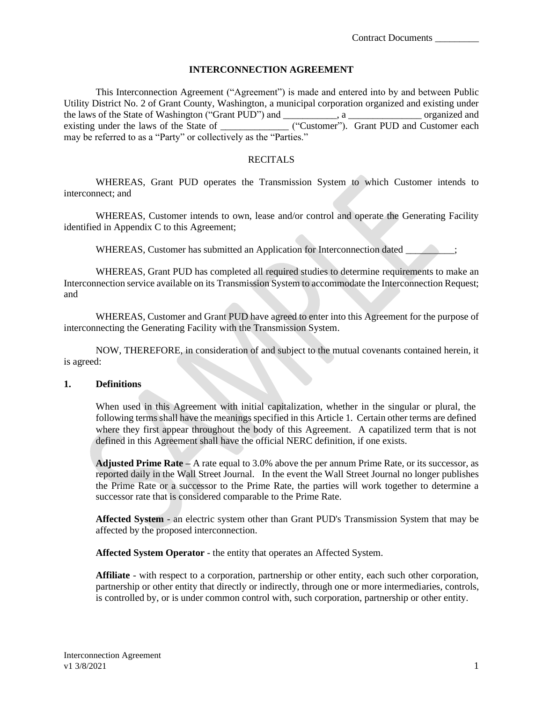#### **INTERCONNECTION AGREEMENT**

This Interconnection Agreement ("Agreement") is made and entered into by and between Public Utility District No. 2 of Grant County, Washington, a municipal corporation organized and existing under the laws of the State of Washington ("Grant PUD") and \_\_\_\_\_\_\_\_\_\_\_, a \_\_\_\_\_\_\_\_\_\_\_\_\_\_\_ organized and existing under the laws of the State of \_\_\_\_\_\_\_\_\_\_\_\_\_\_\_\_ ("Customer"). Grant PUD and Customer each may be referred to as a "Party" or collectively as the "Parties."

#### **RECITALS**

WHEREAS, Grant PUD operates the Transmission System to which Customer intends to interconnect; and

WHEREAS, Customer intends to own, lease and/or control and operate the Generating Facility identified in Appendix C to this Agreement;

WHEREAS, Customer has submitted an Application for Interconnection dated  $\qquad \qquad$ ;

WHEREAS, Grant PUD has completed all required studies to determine requirements to make an Interconnection service available on its Transmission System to accommodate the Interconnection Request; and

WHEREAS, Customer and Grant PUD have agreed to enter into this Agreement for the purpose of interconnecting the Generating Facility with the Transmission System.

NOW, THEREFORE, in consideration of and subject to the mutual covenants contained herein, it is agreed:

#### <span id="page-3-0"></span>**1. Definitions**

When used in this Agreement with initial capitalization, whether in the singular or plural, the following terms shall have the meanings specified in this Article 1. Certain other terms are defined where they first appear throughout the body of this Agreement. A capatilized term that is not defined in this Agreement shall have the official NERC definition, if one exists.

**Adjusted Prime Rate –** A rate equal to 3.0% above the per annum Prime Rate, or its successor, as reported daily in the Wall Street Journal. In the event the Wall Street Journal no longer publishes the Prime Rate or a successor to the Prime Rate, the parties will work together to determine a successor rate that is considered comparable to the Prime Rate.

**Affected System** - an electric system other than Grant PUD's Transmission System that may be affected by the proposed interconnection.

**Affected System Operator** - the entity that operates an Affected System.

**Affiliate** - with respect to a corporation, partnership or other entity, each such other corporation, partnership or other entity that directly or indirectly, through one or more intermediaries, controls, is controlled by, or is under common control with, such corporation, partnership or other entity.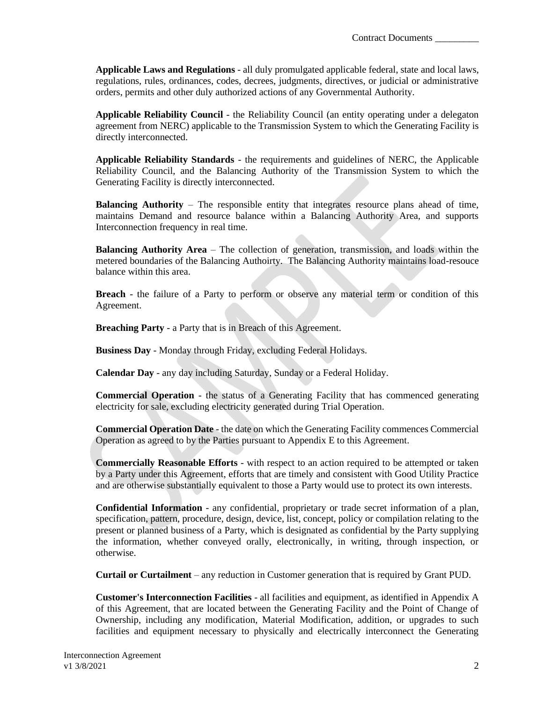**Applicable Laws and Regulations** - all duly promulgated applicable federal, state and local laws, regulations, rules, ordinances, codes, decrees, judgments, directives, or judicial or administrative orders, permits and other duly authorized actions of any Governmental Authority.

**Applicable Reliability Council** - the Reliability Council (an entity operating under a delegaton agreement from NERC) applicable to the Transmission System to which the Generating Facility is directly interconnected.

**Applicable Reliability Standards** - the requirements and guidelines of NERC, the Applicable Reliability Council, and the Balancing Authority of the Transmission System to which the Generating Facility is directly interconnected.

**Balancing Authority** – The responsible entity that integrates resource plans ahead of time, maintains Demand and resource balance within a Balancing Authority Area, and supports Interconnection frequency in real time.

**Balancing Authority Area** – The collection of generation, transmission, and loads within the metered boundaries of the Balancing Authoirty. The Balancing Authority maintains load-resouce balance within this area.

**Breach** - the failure of a Party to perform or observe any material term or condition of this Agreement.

**Breaching Party** - a Party that is in Breach of this Agreement.

**Business Day** - Monday through Friday, excluding Federal Holidays.

**Calendar Day** - any day including Saturday, Sunday or a Federal Holiday.

**Commercial Operation** - the status of a Generating Facility that has commenced generating electricity for sale, excluding electricity generated during Trial Operation.

**Commercial Operation Date** - the date on which the Generating Facility commences Commercial Operation as agreed to by the Parties pursuant to Appendix E to this Agreement.

**Commercially Reasonable Efforts** - with respect to an action required to be attempted or taken by a Party under this Agreement, efforts that are timely and consistent with Good Utility Practice and are otherwise substantially equivalent to those a Party would use to protect its own interests.

**Confidential Information** - any confidential, proprietary or trade secret information of a plan, specification, pattern, procedure, design, device, list, concept, policy or compilation relating to the present or planned business of a Party, which is designated as confidential by the Party supplying the information, whether conveyed orally, electronically, in writing, through inspection, or otherwise.

**Curtail or Curtailment** – any reduction in Customer generation that is required by Grant PUD.

**Customer's Interconnection Facilities** - all facilities and equipment, as identified in Appendix A of this Agreement, that are located between the Generating Facility and the Point of Change of Ownership, including any modification, Material Modification, addition, or upgrades to such facilities and equipment necessary to physically and electrically interconnect the Generating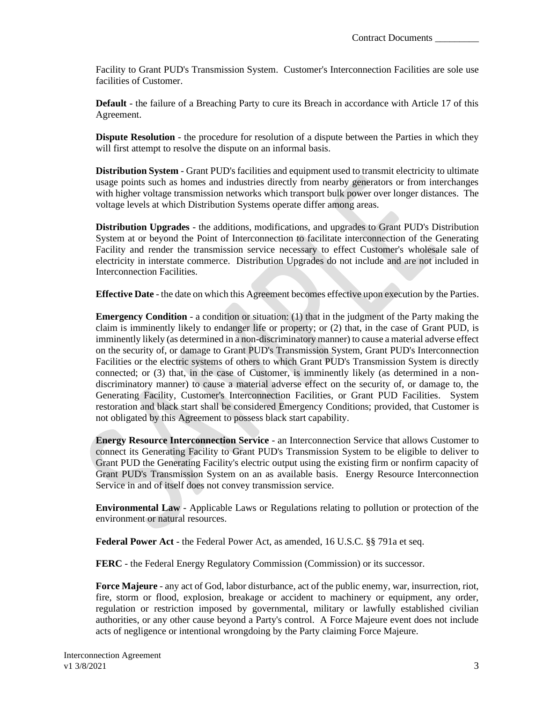Facility to Grant PUD's Transmission System. Customer's Interconnection Facilities are sole use facilities of Customer.

**Default** - the failure of a Breaching Party to cure its Breach in accordance with Article 17 of this Agreement.

**Dispute Resolution** - the procedure for resolution of a dispute between the Parties in which they will first attempt to resolve the dispute on an informal basis.

**Distribution System** - Grant PUD's facilities and equipment used to transmit electricity to ultimate usage points such as homes and industries directly from nearby generators or from interchanges with higher voltage transmission networks which transport bulk power over longer distances. The voltage levels at which Distribution Systems operate differ among areas.

**Distribution Upgrades** - the additions, modifications, and upgrades to Grant PUD's Distribution System at or beyond the Point of Interconnection to facilitate interconnection of the Generating Facility and render the transmission service necessary to effect Customer's wholesale sale of electricity in interstate commerce. Distribution Upgrades do not include and are not included in Interconnection Facilities.

**Effective Date** - the date on which this Agreement becomes effective upon execution by the Parties.

**Emergency Condition** - a condition or situation: (1) that in the judgment of the Party making the claim is imminently likely to endanger life or property; or (2) that, in the case of Grant PUD, is imminently likely (as determined in a non-discriminatory manner) to cause a material adverse effect on the security of, or damage to Grant PUD's Transmission System, Grant PUD's Interconnection Facilities or the electric systems of others to which Grant PUD's Transmission System is directly connected; or (3) that, in the case of Customer, is imminently likely (as determined in a nondiscriminatory manner) to cause a material adverse effect on the security of, or damage to, the Generating Facility, Customer's Interconnection Facilities, or Grant PUD Facilities. System restoration and black start shall be considered Emergency Conditions; provided, that Customer is not obligated by this Agreement to possess black start capability.

**Energy Resource Interconnection Service** - an Interconnection Service that allows Customer to connect its Generating Facility to Grant PUD's Transmission System to be eligible to deliver to Grant PUD the Generating Facility's electric output using the existing firm or nonfirm capacity of Grant PUD's Transmission System on an as available basis. Energy Resource Interconnection Service in and of itself does not convey transmission service.

**Environmental Law** - Applicable Laws or Regulations relating to pollution or protection of the environment or natural resources.

**Federal Power Act** - the Federal Power Act, as amended, 16 U.S.C. §§ 791a et seq.

**FERC** - the Federal Energy Regulatory Commission (Commission) or its successor.

**Force Majeure** - any act of God, labor disturbance, act of the public enemy, war, insurrection, riot, fire, storm or flood, explosion, breakage or accident to machinery or equipment, any order, regulation or restriction imposed by governmental, military or lawfully established civilian authorities, or any other cause beyond a Party's control. A Force Majeure event does not include acts of negligence or intentional wrongdoing by the Party claiming Force Majeure.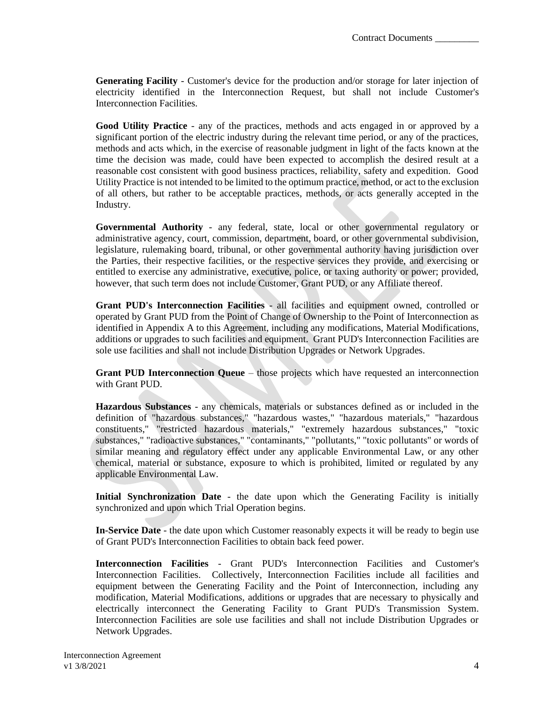**Generating Facility** - Customer's device for the production and/or storage for later injection of electricity identified in the Interconnection Request, but shall not include Customer's Interconnection Facilities.

**Good Utility Practice** - any of the practices, methods and acts engaged in or approved by a significant portion of the electric industry during the relevant time period, or any of the practices, methods and acts which, in the exercise of reasonable judgment in light of the facts known at the time the decision was made, could have been expected to accomplish the desired result at a reasonable cost consistent with good business practices, reliability, safety and expedition. Good Utility Practice is not intended to be limited to the optimum practice, method, or act to the exclusion of all others, but rather to be acceptable practices, methods, or acts generally accepted in the Industry.

**Governmental Authority** - any federal, state, local or other governmental regulatory or administrative agency, court, commission, department, board, or other governmental subdivision, legislature, rulemaking board, tribunal, or other governmental authority having jurisdiction over the Parties, their respective facilities, or the respective services they provide, and exercising or entitled to exercise any administrative, executive, police, or taxing authority or power; provided, however, that such term does not include Customer, Grant PUD, or any Affiliate thereof.

**Grant PUD's Interconnection Facilities** - all facilities and equipment owned, controlled or operated by Grant PUD from the Point of Change of Ownership to the Point of Interconnection as identified in Appendix A to this Agreement, including any modifications, Material Modifications, additions or upgrades to such facilities and equipment. Grant PUD's Interconnection Facilities are sole use facilities and shall not include Distribution Upgrades or Network Upgrades.

**Grant PUD Interconnection Queue** – those projects which have requested an interconnection with Grant PUD.

**Hazardous Substances** - any chemicals, materials or substances defined as or included in the definition of "hazardous substances," "hazardous wastes," "hazardous materials," "hazardous constituents," "restricted hazardous materials," "extremely hazardous substances," "toxic substances," "radioactive substances," "contaminants," "pollutants," "toxic pollutants" or words of similar meaning and regulatory effect under any applicable Environmental Law, or any other chemical, material or substance, exposure to which is prohibited, limited or regulated by any applicable Environmental Law.

**Initial Synchronization Date** - the date upon which the Generating Facility is initially synchronized and upon which Trial Operation begins.

**In-Service Date** - the date upon which Customer reasonably expects it will be ready to begin use of Grant PUD's Interconnection Facilities to obtain back feed power.

**Interconnection Facilities** - Grant PUD's Interconnection Facilities and Customer's Interconnection Facilities. Collectively, Interconnection Facilities include all facilities and equipment between the Generating Facility and the Point of Interconnection, including any modification, Material Modifications, additions or upgrades that are necessary to physically and electrically interconnect the Generating Facility to Grant PUD's Transmission System. Interconnection Facilities are sole use facilities and shall not include Distribution Upgrades or Network Upgrades.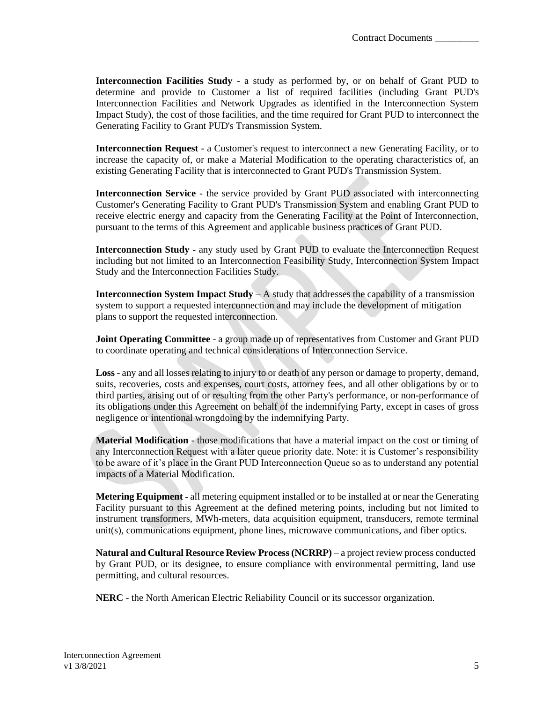**Interconnection Facilities Study** - a study as performed by, or on behalf of Grant PUD to determine and provide to Customer a list of required facilities (including Grant PUD's Interconnection Facilities and Network Upgrades as identified in the Interconnection System Impact Study), the cost of those facilities, and the time required for Grant PUD to interconnect the Generating Facility to Grant PUD's Transmission System.

**Interconnection Request** - a Customer's request to interconnect a new Generating Facility, or to increase the capacity of, or make a Material Modification to the operating characteristics of, an existing Generating Facility that is interconnected to Grant PUD's Transmission System.

**Interconnection Service** - the service provided by Grant PUD associated with interconnecting Customer's Generating Facility to Grant PUD's Transmission System and enabling Grant PUD to receive electric energy and capacity from the Generating Facility at the Point of Interconnection, pursuant to the terms of this Agreement and applicable business practices of Grant PUD.

**Interconnection Study** - any study used by Grant PUD to evaluate the Interconnection Request including but not limited to an Interconnection Feasibility Study, Interconnection System Impact Study and the Interconnection Facilities Study.

**Interconnection System Impact Study** – A study that addresses the capability of a transmission system to support a requested interconnection and may include the development of mitigation plans to support the requested interconnection.

**Joint Operating Committee** - a group made up of representatives from Customer and Grant PUD to coordinate operating and technical considerations of Interconnection Service.

**Loss** - any and all losses relating to injury to or death of any person or damage to property, demand, suits, recoveries, costs and expenses, court costs, attorney fees, and all other obligations by or to third parties, arising out of or resulting from the other Party's performance, or non-performance of its obligations under this Agreement on behalf of the indemnifying Party, except in cases of gross negligence or intentional wrongdoing by the indemnifying Party.

**Material Modification** - those modifications that have a material impact on the cost or timing of any Interconnection Request with a later queue priority date. Note: it is Customer's responsibility to be aware of it's place in the Grant PUD Interconnection Queue so as to understand any potential impacts of a Material Modification.

**Metering Equipment** - all metering equipment installed or to be installed at or near the Generating Facility pursuant to this Agreement at the defined metering points, including but not limited to instrument transformers, MWh-meters, data acquisition equipment, transducers, remote terminal unit(s), communications equipment, phone lines, microwave communications, and fiber optics.

**Natural and Cultural Resource Review Process (NCRRP)** – a project review process conducted by Grant PUD, or its designee, to ensure compliance with environmental permitting, land use permitting, and cultural resources.

**NERC** - the North American Electric Reliability Council or its successor organization.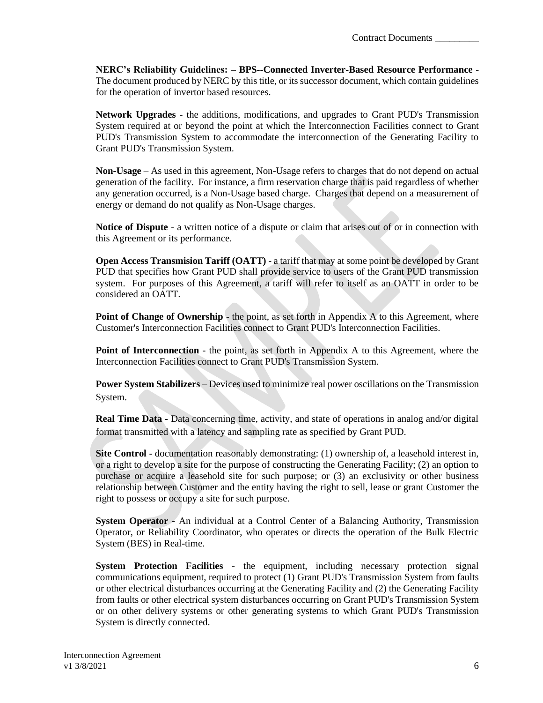**NERC's Reliability Guidelines: – BPS--Connected Inverter-Based Resource Performance** - The document produced by NERC by this title, or its successor document, which contain guidelines for the operation of invertor based resources.

**Network Upgrades** - the additions, modifications, and upgrades to Grant PUD's Transmission System required at or beyond the point at which the Interconnection Facilities connect to Grant PUD's Transmission System to accommodate the interconnection of the Generating Facility to Grant PUD's Transmission System.

**Non-Usage** – As used in this agreement, Non-Usage refers to charges that do not depend on actual generation of the facility. For instance, a firm reservation charge that is paid regardless of whether any generation occurred, is a Non-Usage based charge. Charges that depend on a measurement of energy or demand do not qualify as Non-Usage charges.

**Notice of Dispute** - a written notice of a dispute or claim that arises out of or in connection with this Agreement or its performance.

**Open Access Transmision Tariff (OATT)** - a tariff that may at some point be developed by Grant PUD that specifies how Grant PUD shall provide service to users of the Grant PUD transmission system. For purposes of this Agreement, a tariff will refer to itself as an OATT in order to be considered an OATT.

**Point of Change of Ownership** - the point, as set forth in Appendix A to this Agreement, where Customer's Interconnection Facilities connect to Grant PUD's Interconnection Facilities.

**Point of Interconnection** - the point, as set forth in Appendix A to this Agreement, where the Interconnection Facilities connect to Grant PUD's Transmission System.

**Power System Stabilizers** – Devices used to minimize real power oscillations on the Transmission System.

**Real Time Data -** Data concerning time, activity, and state of operations in analog and/or digital format transmitted with a latency and sampling rate as specified by Grant PUD.

**Site Control** - documentation reasonably demonstrating: (1) ownership of, a leasehold interest in, or a right to develop a site for the purpose of constructing the Generating Facility; (2) an option to purchase or acquire a leasehold site for such purpose; or (3) an exclusivity or other business relationship between Customer and the entity having the right to sell, lease or grant Customer the right to possess or occupy a site for such purpose.

**System Operator -** An individual at a Control Center of a Balancing Authority, Transmission Operator, or Reliability Coordinator, who operates or directs the operation of the Bulk Electric System (BES) in Real-time.

**System Protection Facilities** - the equipment, including necessary protection signal communications equipment, required to protect (1) Grant PUD's Transmission System from faults or other electrical disturbances occurring at the Generating Facility and (2) the Generating Facility from faults or other electrical system disturbances occurring on Grant PUD's Transmission System or on other delivery systems or other generating systems to which Grant PUD's Transmission System is directly connected.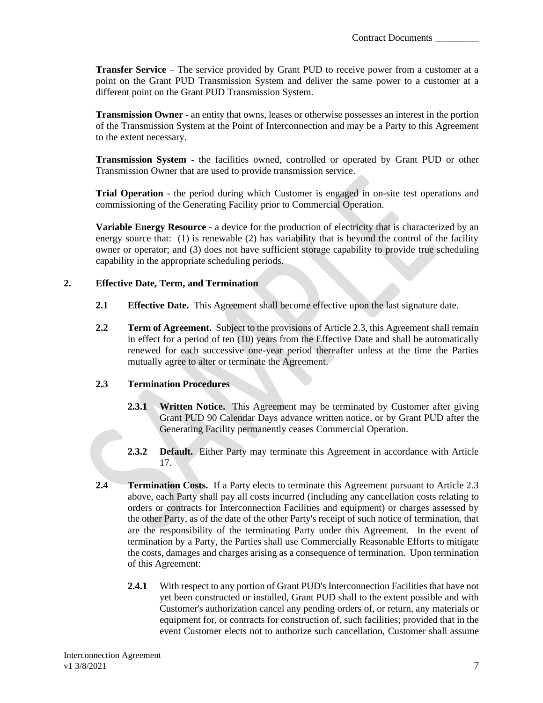**Transfer Service** – The service provided by Grant PUD to receive power from a customer at a point on the Grant PUD Transmission System and deliver the same power to a customer at a different point on the Grant PUD Transmission System.

**Transmission Owner** - an entity that owns, leases or otherwise possesses an interest in the portion of the Transmission System at the Point of Interconnection and may be a Party to this Agreement to the extent necessary.

**Transmission System** - the facilities owned, controlled or operated by Grant PUD or other Transmission Owner that are used to provide transmission service.

**Trial Operation** - the period during which Customer is engaged in on-site test operations and commissioning of the Generating Facility prior to Commercial Operation.

**Variable Energy Resource** - a device for the production of electricity that is characterized by an energy source that: (1) is renewable (2) has variability that is beyond the control of the facility owner or operator; and (3) does not have sufficient storage capability to provide true scheduling capability in the appropriate scheduling periods.

### <span id="page-9-0"></span>**2. Effective Date, Term, and Termination**

- **2.1 Effective Date.** This Agreement shall become effective upon the last signature date.
- **2.2 Term of Agreement.** Subject to the provisions of Article 2.3, this Agreement shall remain in effect for a period of ten (10) years from the Effective Date and shall be automatically renewed for each successive one-year period thereafter unless at the time the Parties mutually agree to alter or terminate the Agreement.

### **2.3 Termination Procedures**

- **2.3.1 Written Notice.** This Agreement may be terminated by Customer after giving Grant PUD 90 Calendar Days advance written notice, or by Grant PUD after the Generating Facility permanently ceases Commercial Operation.
- **2.3.2 Default.** Either Party may terminate this Agreement in accordance with Article 17.
- **2.4 Termination Costs.** If a Party elects to terminate this Agreement pursuant to Article 2.3 above, each Party shall pay all costs incurred (including any cancellation costs relating to orders or contracts for Interconnection Facilities and equipment) or charges assessed by the other Party, as of the date of the other Party's receipt of such notice of termination, that are the responsibility of the terminating Party under this Agreement. In the event of termination by a Party, the Parties shall use Commercially Reasonable Efforts to mitigate the costs, damages and charges arising as a consequence of termination. Upon termination of this Agreement:
	- **2.4.1** With respect to any portion of Grant PUD's Interconnection Facilities that have not yet been constructed or installed, Grant PUD shall to the extent possible and with Customer's authorization cancel any pending orders of, or return, any materials or equipment for, or contracts for construction of, such facilities; provided that in the event Customer elects not to authorize such cancellation, Customer shall assume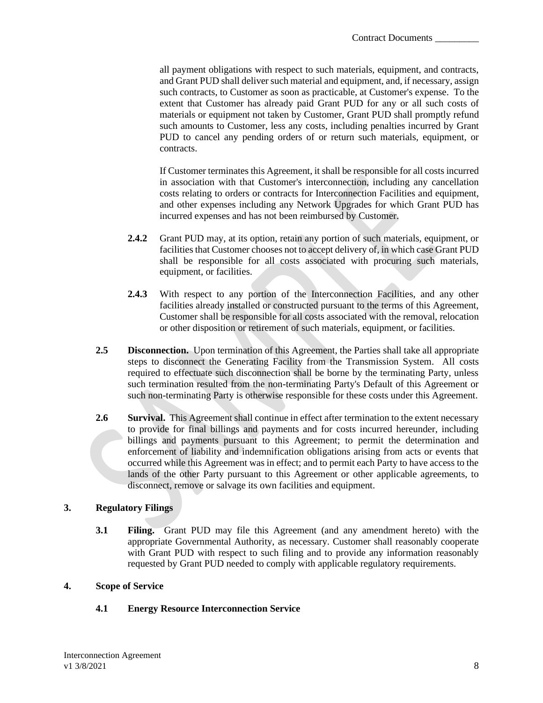all payment obligations with respect to such materials, equipment, and contracts, and Grant PUD shall deliver such material and equipment, and, if necessary, assign such contracts, to Customer as soon as practicable, at Customer's expense. To the extent that Customer has already paid Grant PUD for any or all such costs of materials or equipment not taken by Customer, Grant PUD shall promptly refund such amounts to Customer, less any costs, including penalties incurred by Grant PUD to cancel any pending orders of or return such materials, equipment, or contracts.

If Customer terminates this Agreement, it shall be responsible for all costs incurred in association with that Customer's interconnection, including any cancellation costs relating to orders or contracts for Interconnection Facilities and equipment, and other expenses including any Network Upgrades for which Grant PUD has incurred expenses and has not been reimbursed by Customer.

- **2.4.2** Grant PUD may, at its option, retain any portion of such materials, equipment, or facilities that Customer chooses not to accept delivery of, in which case Grant PUD shall be responsible for all costs associated with procuring such materials, equipment, or facilities.
- **2.4.3** With respect to any portion of the Interconnection Facilities, and any other facilities already installed or constructed pursuant to the terms of this Agreement, Customer shall be responsible for all costs associated with the removal, relocation or other disposition or retirement of such materials, equipment, or facilities.
- **2.5 Disconnection.** Upon termination of this Agreement, the Parties shall take all appropriate steps to disconnect the Generating Facility from the Transmission System. All costs required to effectuate such disconnection shall be borne by the terminating Party, unless such termination resulted from the non-terminating Party's Default of this Agreement or such non-terminating Party is otherwise responsible for these costs under this Agreement.
- **2.6 Survival.** This Agreement shall continue in effect after termination to the extent necessary to provide for final billings and payments and for costs incurred hereunder, including billings and payments pursuant to this Agreement; to permit the determination and enforcement of liability and indemnification obligations arising from acts or events that occurred while this Agreement was in effect; and to permit each Party to have access to the lands of the other Party pursuant to this Agreement or other applicable agreements, to disconnect, remove or salvage its own facilities and equipment.

## <span id="page-10-0"></span>**3. Regulatory Filings**

**3.1 Filing.** Grant PUD may file this Agreement (and any amendment hereto) with the appropriate Governmental Authority, as necessary. Customer shall reasonably cooperate with Grant PUD with respect to such filing and to provide any information reasonably requested by Grant PUD needed to comply with applicable regulatory requirements.

### <span id="page-10-1"></span>**4. Scope of Service**

## **4.1 Energy Resource Interconnection Service**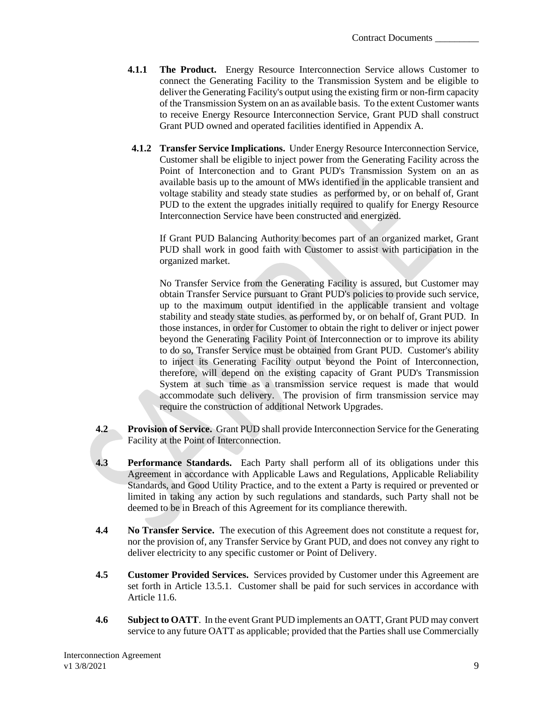- **4.1.1 The Product.** Energy Resource Interconnection Service allows Customer to connect the Generating Facility to the Transmission System and be eligible to deliver the Generating Facility's output using the existing firm or non-firm capacity of the Transmission System on an as available basis. To the extent Customer wants to receive Energy Resource Interconnection Service, Grant PUD shall construct Grant PUD owned and operated facilities identified in Appendix A.
- **4.1.2 Transfer Service Implications.** Under Energy Resource Interconnection Service, Customer shall be eligible to inject power from the Generating Facility across the Point of Interconection and to Grant PUD's Transmission System on an as available basis up to the amount of MWs identified in the applicable transient and voltage stability and steady state studies as performed by, or on behalf of, Grant PUD to the extent the upgrades initially required to qualify for Energy Resource Interconnection Service have been constructed and energized.

If Grant PUD Balancing Authority becomes part of an organized market, Grant PUD shall work in good faith with Customer to assist with participation in the organized market.

No Transfer Service from the Generating Facility is assured, but Customer may obtain Transfer Service pursuant to Grant PUD's policies to provide such service, up to the maximum output identified in the applicable transient and voltage stability and steady state studies. as performed by, or on behalf of, Grant PUD. In those instances, in order for Customer to obtain the right to deliver or inject power beyond the Generating Facility Point of Interconnection or to improve its ability to do so, Transfer Service must be obtained from Grant PUD. Customer's ability to inject its Generating Facility output beyond the Point of Interconnection, therefore, will depend on the existing capacity of Grant PUD's Transmission System at such time as a transmission service request is made that would accommodate such delivery. The provision of firm transmission service may require the construction of additional Network Upgrades.

- **4.2 Provision of Service.** Grant PUD shall provide Interconnection Service for the Generating Facility at the Point of Interconnection.
- **4.3 Performance Standards.** Each Party shall perform all of its obligations under this Agreement in accordance with Applicable Laws and Regulations, Applicable Reliability Standards, and Good Utility Practice, and to the extent a Party is required or prevented or limited in taking any action by such regulations and standards, such Party shall not be deemed to be in Breach of this Agreement for its compliance therewith.
- **4.4 No Transfer Service.** The execution of this Agreement does not constitute a request for, nor the provision of, any Transfer Service by Grant PUD, and does not convey any right to deliver electricity to any specific customer or Point of Delivery.
- **4.5 Customer Provided Services.** Services provided by Customer under this Agreement are set forth in Article 13.5.1. Customer shall be paid for such services in accordance with Article 11.6.
- **4.6 Subject to OATT**. In the event Grant PUD implements an OATT, Grant PUD may convert service to any future OATT as applicable; provided that the Parties shall use Commercially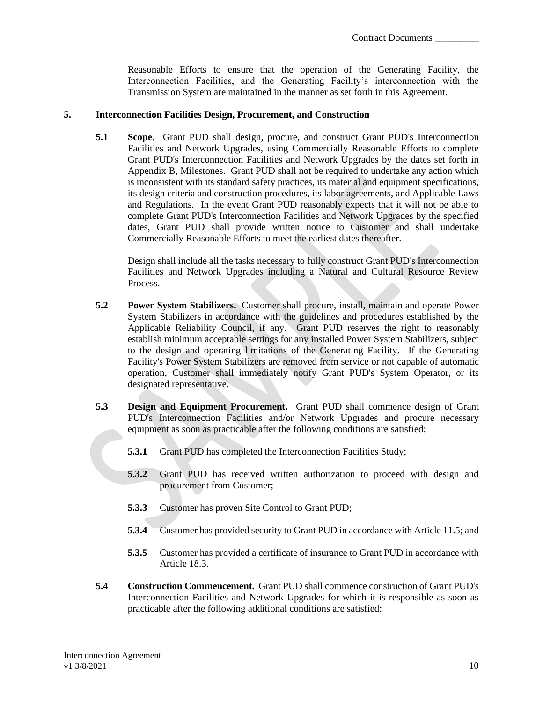Reasonable Efforts to ensure that the operation of the Generating Facility, the Interconnection Facilities, and the Generating Facility's interconnection with the Transmission System are maintained in the manner as set forth in this Agreement.

#### <span id="page-12-0"></span>**5. Interconnection Facilities Design, Procurement, and Construction**

**5.1 Scope.** Grant PUD shall design, procure, and construct Grant PUD's Interconnection Facilities and Network Upgrades, using Commercially Reasonable Efforts to complete Grant PUD's Interconnection Facilities and Network Upgrades by the dates set forth in Appendix B, Milestones. Grant PUD shall not be required to undertake any action which is inconsistent with its standard safety practices, its material and equipment specifications, its design criteria and construction procedures, its labor agreements, and Applicable Laws and Regulations. In the event Grant PUD reasonably expects that it will not be able to complete Grant PUD's Interconnection Facilities and Network Upgrades by the specified dates, Grant PUD shall provide written notice to Customer and shall undertake Commercially Reasonable Efforts to meet the earliest dates thereafter.

Design shall include all the tasks necessary to fully construct Grant PUD's Interconnection Facilities and Network Upgrades including a Natural and Cultural Resource Review Process.

- **5.2 Power System Stabilizers.** Customer shall procure, install, maintain and operate Power System Stabilizers in accordance with the guidelines and procedures established by the Applicable Reliability Council, if any. Grant PUD reserves the right to reasonably establish minimum acceptable settings for any installed Power System Stabilizers, subject to the design and operating limitations of the Generating Facility. If the Generating Facility's Power System Stabilizers are removed from service or not capable of automatic operation, Customer shall immediately notify Grant PUD's System Operator, or its designated representative.
- **5.3 Design and Equipment Procurement.** Grant PUD shall commence design of Grant PUD's Interconnection Facilities and/or Network Upgrades and procure necessary equipment as soon as practicable after the following conditions are satisfied:
	- **5.3.1** Grant PUD has completed the Interconnection Facilities Study;
	- **5.3.2** Grant PUD has received written authorization to proceed with design and procurement from Customer;
	- **5.3.3** Customer has proven Site Control to Grant PUD;
	- **5.3.4** Customer has provided security to Grant PUD in accordance with Article 11.5; and
	- **5.3.5** Customer has provided a certificate of insurance to Grant PUD in accordance with Article 18.3.
- **5.4 Construction Commencement.** Grant PUD shall commence construction of Grant PUD's Interconnection Facilities and Network Upgrades for which it is responsible as soon as practicable after the following additional conditions are satisfied: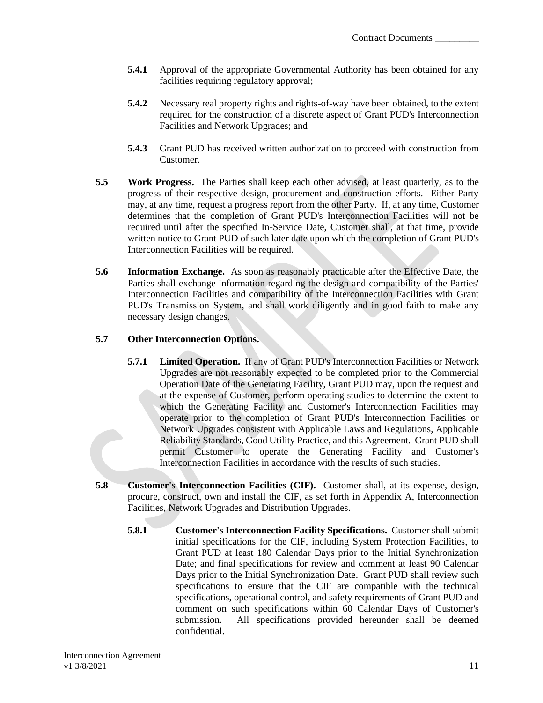- **5.4.1** Approval of the appropriate Governmental Authority has been obtained for any facilities requiring regulatory approval;
- **5.4.2** Necessary real property rights and rights-of-way have been obtained, to the extent required for the construction of a discrete aspect of Grant PUD's Interconnection Facilities and Network Upgrades; and
- **5.4.3** Grant PUD has received written authorization to proceed with construction from Customer.
- **5.5 Work Progress.** The Parties shall keep each other advised, at least quarterly, as to the progress of their respective design, procurement and construction efforts. Either Party may, at any time, request a progress report from the other Party. If, at any time, Customer determines that the completion of Grant PUD's Interconnection Facilities will not be required until after the specified In-Service Date, Customer shall, at that time, provide written notice to Grant PUD of such later date upon which the completion of Grant PUD's Interconnection Facilities will be required.
- **5.6 Information Exchange.** As soon as reasonably practicable after the Effective Date, the Parties shall exchange information regarding the design and compatibility of the Parties' Interconnection Facilities and compatibility of the Interconnection Facilities with Grant PUD's Transmission System, and shall work diligently and in good faith to make any necessary design changes.

## **5.7 Other Interconnection Options.**

- **5.7.1 Limited Operation.** If any of Grant PUD's Interconnection Facilities or Network Upgrades are not reasonably expected to be completed prior to the Commercial Operation Date of the Generating Facility, Grant PUD may, upon the request and at the expense of Customer, perform operating studies to determine the extent to which the Generating Facility and Customer's Interconnection Facilities may operate prior to the completion of Grant PUD's Interconnection Facilities or Network Upgrades consistent with Applicable Laws and Regulations, Applicable Reliability Standards, Good Utility Practice, and this Agreement. Grant PUD shall permit Customer to operate the Generating Facility and Customer's Interconnection Facilities in accordance with the results of such studies.
- **5.8 Customer's Interconnection Facilities (CIF).** Customer shall, at its expense, design, procure, construct, own and install the CIF, as set forth in Appendix A, Interconnection Facilities, Network Upgrades and Distribution Upgrades.
	- **5.8.1 Customer's Interconnection Facility Specifications.** Customer shall submit initial specifications for the CIF, including System Protection Facilities, to Grant PUD at least 180 Calendar Days prior to the Initial Synchronization Date; and final specifications for review and comment at least 90 Calendar Days prior to the Initial Synchronization Date. Grant PUD shall review such specifications to ensure that the CIF are compatible with the technical specifications, operational control, and safety requirements of Grant PUD and comment on such specifications within 60 Calendar Days of Customer's submission. All specifications provided hereunder shall be deemed confidential.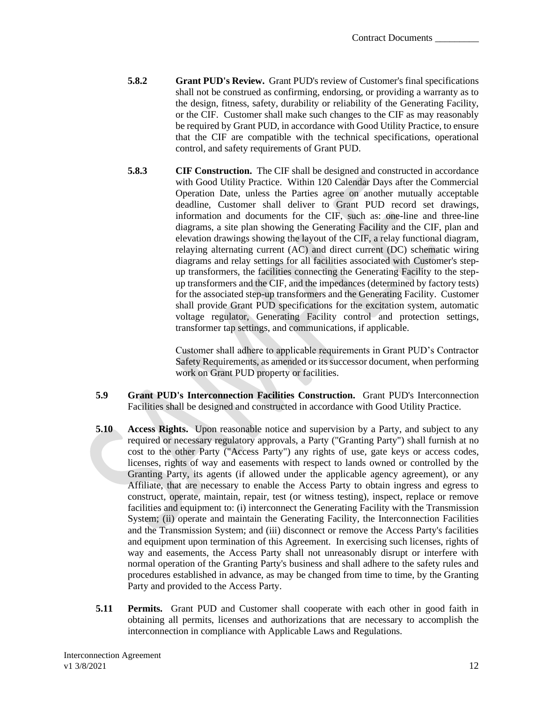- **5.8.2 Grant PUD's Review.** Grant PUD's review of Customer's final specifications shall not be construed as confirming, endorsing, or providing a warranty as to the design, fitness, safety, durability or reliability of the Generating Facility, or the CIF. Customer shall make such changes to the CIF as may reasonably be required by Grant PUD, in accordance with Good Utility Practice, to ensure that the CIF are compatible with the technical specifications, operational control, and safety requirements of Grant PUD.
- **5.8.3 CIF Construction.** The CIF shall be designed and constructed in accordance with Good Utility Practice. Within 120 Calendar Days after the Commercial Operation Date, unless the Parties agree on another mutually acceptable deadline, Customer shall deliver to Grant PUD record set drawings, information and documents for the CIF, such as: one-line and three-line diagrams, a site plan showing the Generating Facility and the CIF, plan and elevation drawings showing the layout of the CIF, a relay functional diagram, relaying alternating current (AC) and direct current (DC) schematic wiring diagrams and relay settings for all facilities associated with Customer's stepup transformers, the facilities connecting the Generating Facility to the stepup transformers and the CIF, and the impedances (determined by factory tests) for the associated step-up transformers and the Generating Facility. Customer shall provide Grant PUD specifications for the excitation system, automatic voltage regulator, Generating Facility control and protection settings, transformer tap settings, and communications, if applicable.

Customer shall adhere to applicable requirements in Grant PUD's Contractor Safety Requirements, as amended or its successor document, when performing work on Grant PUD property or facilities.

- **5.9 Grant PUD's Interconnection Facilities Construction.** Grant PUD's Interconnection Facilities shall be designed and constructed in accordance with Good Utility Practice.
- **5.10 Access Rights.** Upon reasonable notice and supervision by a Party, and subject to any required or necessary regulatory approvals, a Party ("Granting Party") shall furnish at no cost to the other Party ("Access Party") any rights of use, gate keys or access codes, licenses, rights of way and easements with respect to lands owned or controlled by the Granting Party, its agents (if allowed under the applicable agency agreement), or any Affiliate, that are necessary to enable the Access Party to obtain ingress and egress to construct, operate, maintain, repair, test (or witness testing), inspect, replace or remove facilities and equipment to: (i) interconnect the Generating Facility with the Transmission System; (ii) operate and maintain the Generating Facility, the Interconnection Facilities and the Transmission System; and (iii) disconnect or remove the Access Party's facilities and equipment upon termination of this Agreement. In exercising such licenses, rights of way and easements, the Access Party shall not unreasonably disrupt or interfere with normal operation of the Granting Party's business and shall adhere to the safety rules and procedures established in advance, as may be changed from time to time, by the Granting Party and provided to the Access Party.
- **5.11 Permits.** Grant PUD and Customer shall cooperate with each other in good faith in obtaining all permits, licenses and authorizations that are necessary to accomplish the interconnection in compliance with Applicable Laws and Regulations.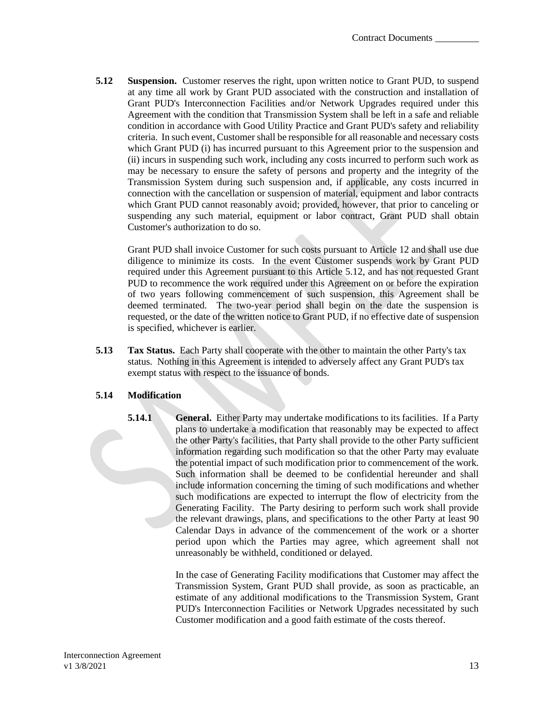**5.12 Suspension.** Customer reserves the right, upon written notice to Grant PUD, to suspend at any time all work by Grant PUD associated with the construction and installation of Grant PUD's Interconnection Facilities and/or Network Upgrades required under this Agreement with the condition that Transmission System shall be left in a safe and reliable condition in accordance with Good Utility Practice and Grant PUD's safety and reliability criteria. In such event, Customer shall be responsible for all reasonable and necessary costs which Grant PUD (i) has incurred pursuant to this Agreement prior to the suspension and (ii) incurs in suspending such work, including any costs incurred to perform such work as may be necessary to ensure the safety of persons and property and the integrity of the Transmission System during such suspension and, if applicable, any costs incurred in connection with the cancellation or suspension of material, equipment and labor contracts which Grant PUD cannot reasonably avoid; provided, however, that prior to canceling or suspending any such material, equipment or labor contract, Grant PUD shall obtain Customer's authorization to do so.

Grant PUD shall invoice Customer for such costs pursuant to Article 12 and shall use due diligence to minimize its costs. In the event Customer suspends work by Grant PUD required under this Agreement pursuant to this Article 5.12, and has not requested Grant PUD to recommence the work required under this Agreement on or before the expiration of two years following commencement of such suspension, this Agreement shall be deemed terminated. The two-year period shall begin on the date the suspension is requested, or the date of the written notice to Grant PUD, if no effective date of suspension is specified, whichever is earlier.

**5.13 Tax Status.** Each Party shall cooperate with the other to maintain the other Party's tax status. Nothing in this Agreement is intended to adversely affect any Grant PUD's tax exempt status with respect to the issuance of bonds.

## **5.14 Modification**

**5.14.1 General.** Either Party may undertake modifications to its facilities. If a Party plans to undertake a modification that reasonably may be expected to affect the other Party's facilities, that Party shall provide to the other Party sufficient information regarding such modification so that the other Party may evaluate the potential impact of such modification prior to commencement of the work. Such information shall be deemed to be confidential hereunder and shall include information concerning the timing of such modifications and whether such modifications are expected to interrupt the flow of electricity from the Generating Facility. The Party desiring to perform such work shall provide the relevant drawings, plans, and specifications to the other Party at least 90 Calendar Days in advance of the commencement of the work or a shorter period upon which the Parties may agree, which agreement shall not unreasonably be withheld, conditioned or delayed.

> In the case of Generating Facility modifications that Customer may affect the Transmission System, Grant PUD shall provide, as soon as practicable, an estimate of any additional modifications to the Transmission System, Grant PUD's Interconnection Facilities or Network Upgrades necessitated by such Customer modification and a good faith estimate of the costs thereof.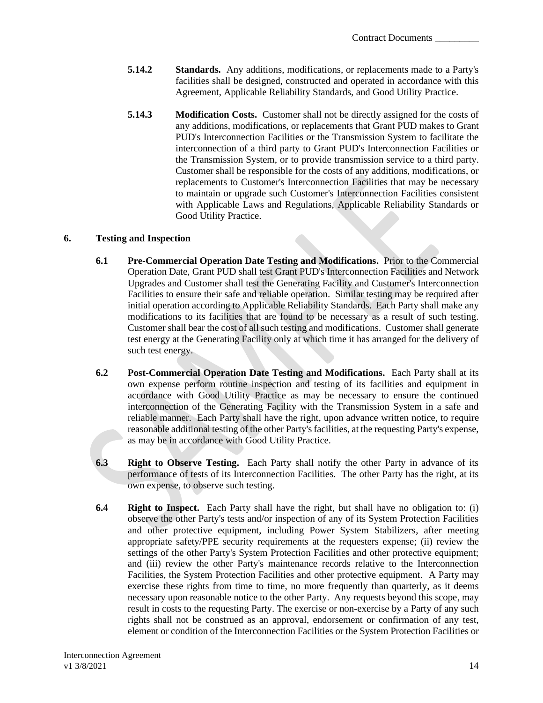- **5.14.2 Standards.** Any additions, modifications, or replacements made to a Party's facilities shall be designed, constructed and operated in accordance with this Agreement, Applicable Reliability Standards, and Good Utility Practice.
- **5.14.3 Modification Costs.** Customer shall not be directly assigned for the costs of any additions, modifications, or replacements that Grant PUD makes to Grant PUD's Interconnection Facilities or the Transmission System to facilitate the interconnection of a third party to Grant PUD's Interconnection Facilities or the Transmission System, or to provide transmission service to a third party. Customer shall be responsible for the costs of any additions, modifications, or replacements to Customer's Interconnection Facilities that may be necessary to maintain or upgrade such Customer's Interconnection Facilities consistent with Applicable Laws and Regulations, Applicable Reliability Standards or Good Utility Practice.

### <span id="page-16-0"></span>**6. Testing and Inspection**

- **6.1 Pre-Commercial Operation Date Testing and Modifications.** Prior to the Commercial Operation Date, Grant PUD shall test Grant PUD's Interconnection Facilities and Network Upgrades and Customer shall test the Generating Facility and Customer's Interconnection Facilities to ensure their safe and reliable operation. Similar testing may be required after initial operation according to Applicable Reliability Standards. Each Party shall make any modifications to its facilities that are found to be necessary as a result of such testing. Customer shall bear the cost of all such testing and modifications. Customer shall generate test energy at the Generating Facility only at which time it has arranged for the delivery of such test energy.
- **6.2 Post-Commercial Operation Date Testing and Modifications.** Each Party shall at its own expense perform routine inspection and testing of its facilities and equipment in accordance with Good Utility Practice as may be necessary to ensure the continued interconnection of the Generating Facility with the Transmission System in a safe and reliable manner. Each Party shall have the right, upon advance written notice, to require reasonable additional testing of the other Party's facilities, at the requesting Party's expense, as may be in accordance with Good Utility Practice.
- **6.3 Right to Observe Testing.** Each Party shall notify the other Party in advance of its performance of tests of its Interconnection Facilities. The other Party has the right, at its own expense, to observe such testing.
- **6.4 Right to Inspect.** Each Party shall have the right, but shall have no obligation to: (i) observe the other Party's tests and/or inspection of any of its System Protection Facilities and other protective equipment, including Power System Stabilizers, after meeting appropriate safety/PPE security requirements at the requesters expense; (ii) review the settings of the other Party's System Protection Facilities and other protective equipment; and (iii) review the other Party's maintenance records relative to the Interconnection Facilities, the System Protection Facilities and other protective equipment. A Party may exercise these rights from time to time, no more frequently than quarterly, as it deems necessary upon reasonable notice to the other Party. Any requests beyond this scope, may result in costs to the requesting Party. The exercise or non-exercise by a Party of any such rights shall not be construed as an approval, endorsement or confirmation of any test, element or condition of the Interconnection Facilities or the System Protection Facilities or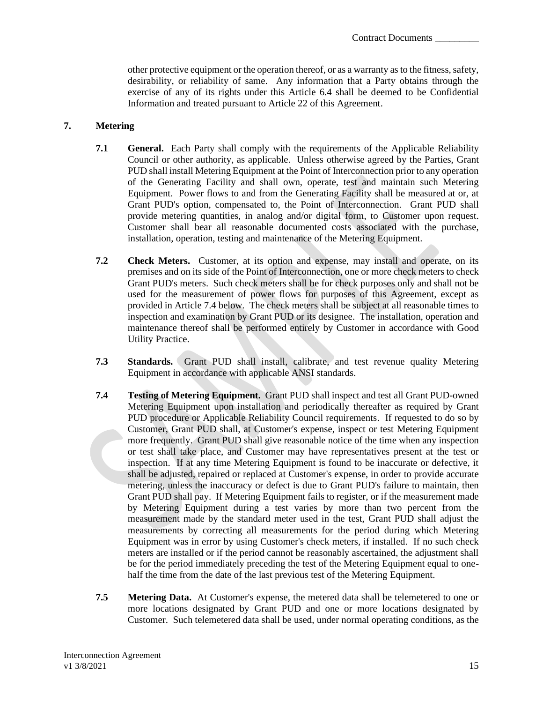other protective equipment or the operation thereof, or as a warranty as to the fitness, safety, desirability, or reliability of same. Any information that a Party obtains through the exercise of any of its rights under this Article 6.4 shall be deemed to be Confidential Information and treated pursuant to Article 22 of this Agreement.

#### <span id="page-17-0"></span>**7. Metering**

- **7.1 General.** Each Party shall comply with the requirements of the Applicable Reliability Council or other authority, as applicable. Unless otherwise agreed by the Parties, Grant PUD shall install Metering Equipment at the Point of Interconnection prior to any operation of the Generating Facility and shall own, operate, test and maintain such Metering Equipment. Power flows to and from the Generating Facility shall be measured at or, at Grant PUD's option, compensated to, the Point of Interconnection. Grant PUD shall provide metering quantities, in analog and/or digital form, to Customer upon request. Customer shall bear all reasonable documented costs associated with the purchase, installation, operation, testing and maintenance of the Metering Equipment.
- **7.2 Check Meters.** Customer, at its option and expense, may install and operate, on its premises and on its side of the Point of Interconnection, one or more check meters to check Grant PUD's meters. Such check meters shall be for check purposes only and shall not be used for the measurement of power flows for purposes of this Agreement, except as provided in Article 7.4 below. The check meters shall be subject at all reasonable times to inspection and examination by Grant PUD or its designee. The installation, operation and maintenance thereof shall be performed entirely by Customer in accordance with Good Utility Practice.
- **7.3 Standards.** Grant PUD shall install, calibrate, and test revenue quality Metering Equipment in accordance with applicable ANSI standards.
- **7.4 Testing of Metering Equipment.** Grant PUD shall inspect and test all Grant PUD-owned Metering Equipment upon installation and periodically thereafter as required by Grant PUD procedure or Applicable Reliability Council requirements. If requested to do so by Customer, Grant PUD shall, at Customer's expense, inspect or test Metering Equipment more frequently. Grant PUD shall give reasonable notice of the time when any inspection or test shall take place, and Customer may have representatives present at the test or inspection. If at any time Metering Equipment is found to be inaccurate or defective, it shall be adjusted, repaired or replaced at Customer's expense, in order to provide accurate metering, unless the inaccuracy or defect is due to Grant PUD's failure to maintain, then Grant PUD shall pay. If Metering Equipment fails to register, or if the measurement made by Metering Equipment during a test varies by more than two percent from the measurement made by the standard meter used in the test, Grant PUD shall adjust the measurements by correcting all measurements for the period during which Metering Equipment was in error by using Customer's check meters, if installed. If no such check meters are installed or if the period cannot be reasonably ascertained, the adjustment shall be for the period immediately preceding the test of the Metering Equipment equal to onehalf the time from the date of the last previous test of the Metering Equipment.
- **7.5 Metering Data.** At Customer's expense, the metered data shall be telemetered to one or more locations designated by Grant PUD and one or more locations designated by Customer. Such telemetered data shall be used, under normal operating conditions, as the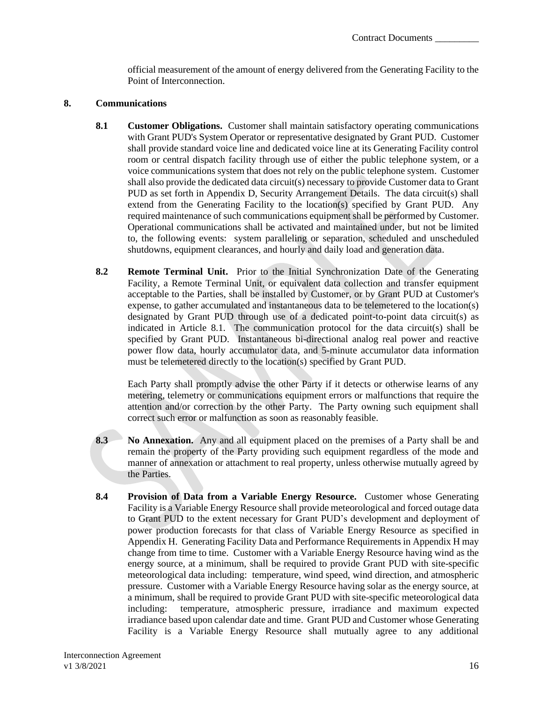official measurement of the amount of energy delivered from the Generating Facility to the Point of Interconnection.

#### <span id="page-18-0"></span>**8. Communications**

- **8.1 Customer Obligations.** Customer shall maintain satisfactory operating communications with Grant PUD's System Operator or representative designated by Grant PUD. Customer shall provide standard voice line and dedicated voice line at its Generating Facility control room or central dispatch facility through use of either the public telephone system, or a voice communications system that does not rely on the public telephone system. Customer shall also provide the dedicated data circuit(s) necessary to provide Customer data to Grant PUD as set forth in Appendix D, Security Arrangement Details. The data circuit(s) shall extend from the Generating Facility to the location(s) specified by Grant PUD. Any required maintenance of such communications equipment shall be performed by Customer. Operational communications shall be activated and maintained under, but not be limited to, the following events: system paralleling or separation, scheduled and unscheduled shutdowns, equipment clearances, and hourly and daily load and generation data.
- **8.2 Remote Terminal Unit.** Prior to the Initial Synchronization Date of the Generating Facility, a Remote Terminal Unit, or equivalent data collection and transfer equipment acceptable to the Parties, shall be installed by Customer, or by Grant PUD at Customer's expense, to gather accumulated and instantaneous data to be telemetered to the location(s) designated by Grant PUD through use of a dedicated point-to-point data circuit(s) as indicated in Article 8.1. The communication protocol for the data circuit(s) shall be specified by Grant PUD. Instantaneous bi-directional analog real power and reactive power flow data, hourly accumulator data, and 5-minute accumulator data information must be telemetered directly to the location(s) specified by Grant PUD.

Each Party shall promptly advise the other Party if it detects or otherwise learns of any metering, telemetry or communications equipment errors or malfunctions that require the attention and/or correction by the other Party. The Party owning such equipment shall correct such error or malfunction as soon as reasonably feasible.

- **8.3 No Annexation.** Any and all equipment placed on the premises of a Party shall be and remain the property of the Party providing such equipment regardless of the mode and manner of annexation or attachment to real property, unless otherwise mutually agreed by the Parties.
- **8.4 Provision of Data from a Variable Energy Resource.** Customer whose Generating Facility is a Variable Energy Resource shall provide meteorological and forced outage data to Grant PUD to the extent necessary for Grant PUD's development and deployment of power production forecasts for that class of Variable Energy Resource as specified in Appendix H. Generating Facility Data and Performance Requirements in Appendix H may change from time to time. Customer with a Variable Energy Resource having wind as the energy source, at a minimum, shall be required to provide Grant PUD with site-specific meteorological data including: temperature, wind speed, wind direction, and atmospheric pressure. Customer with a Variable Energy Resource having solar as the energy source, at a minimum, shall be required to provide Grant PUD with site-specific meteorological data including: temperature, atmospheric pressure, irradiance and maximum expected irradiance based upon calendar date and time. Grant PUD and Customer whose Generating Facility is a Variable Energy Resource shall mutually agree to any additional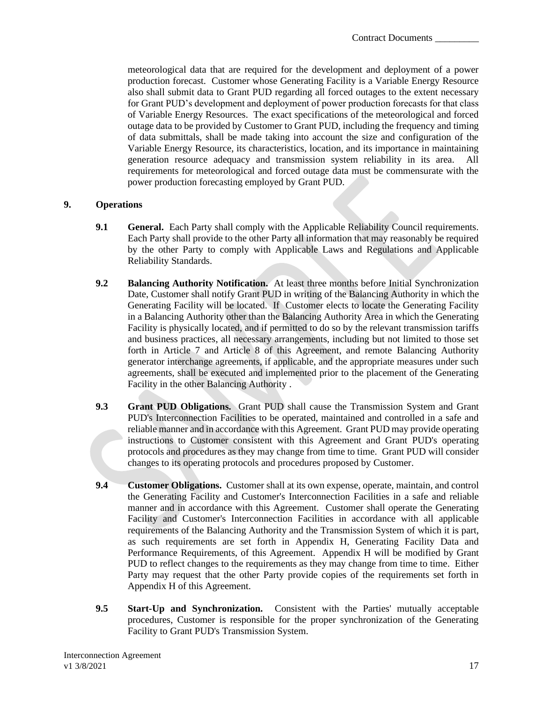meteorological data that are required for the development and deployment of a power production forecast. Customer whose Generating Facility is a Variable Energy Resource also shall submit data to Grant PUD regarding all forced outages to the extent necessary for Grant PUD's development and deployment of power production forecasts for that class of Variable Energy Resources. The exact specifications of the meteorological and forced outage data to be provided by Customer to Grant PUD, including the frequency and timing of data submittals, shall be made taking into account the size and configuration of the Variable Energy Resource, its characteristics, location, and its importance in maintaining generation resource adequacy and transmission system reliability in its area. All requirements for meteorological and forced outage data must be commensurate with the power production forecasting employed by Grant PUD.

### <span id="page-19-0"></span>**9. Operations**

- **9.1 General.** Each Party shall comply with the Applicable Reliability Council requirements. Each Party shall provide to the other Party all information that may reasonably be required by the other Party to comply with Applicable Laws and Regulations and Applicable Reliability Standards.
- **9.2 Balancing Authority Notification.** At least three months before Initial Synchronization Date, Customer shall notify Grant PUD in writing of the Balancing Authority in which the Generating Facility will be located. If Customer elects to locate the Generating Facility in a Balancing Authority other than the Balancing Authority Area in which the Generating Facility is physically located, and if permitted to do so by the relevant transmission tariffs and business practices, all necessary arrangements, including but not limited to those set forth in Article 7 and Article 8 of this Agreement, and remote Balancing Authority generator interchange agreements, if applicable, and the appropriate measures under such agreements, shall be executed and implemented prior to the placement of the Generating Facility in the other Balancing Authority .
- **9.3 Grant PUD Obligations.** Grant PUD shall cause the Transmission System and Grant PUD's Interconnection Facilities to be operated, maintained and controlled in a safe and reliable manner and in accordance with this Agreement. Grant PUD may provide operating instructions to Customer consistent with this Agreement and Grant PUD's operating protocols and procedures as they may change from time to time. Grant PUD will consider changes to its operating protocols and procedures proposed by Customer.
- **9.4 Customer Obligations.** Customer shall at its own expense, operate, maintain, and control the Generating Facility and Customer's Interconnection Facilities in a safe and reliable manner and in accordance with this Agreement. Customer shall operate the Generating Facility and Customer's Interconnection Facilities in accordance with all applicable requirements of the Balancing Authority and the Transmission System of which it is part, as such requirements are set forth in Appendix H, Generating Facility Data and Performance Requirements, of this Agreement. Appendix H will be modified by Grant PUD to reflect changes to the requirements as they may change from time to time. Either Party may request that the other Party provide copies of the requirements set forth in Appendix H of this Agreement.
- **9.5 Start-Up and Synchronization.** Consistent with the Parties' mutually acceptable procedures, Customer is responsible for the proper synchronization of the Generating Facility to Grant PUD's Transmission System.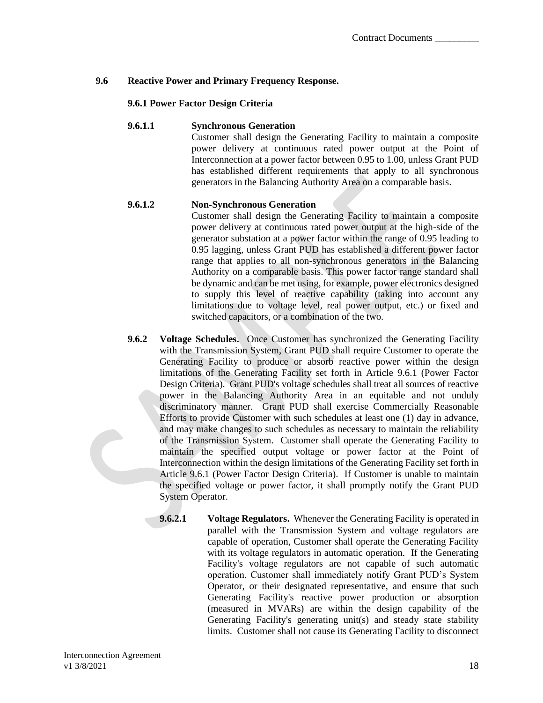## **9.6 Reactive Power and Primary Frequency Response.**

### **9.6.1 Power Factor Design Criteria**

#### **9.6.1.1 Synchronous Generation**

Customer shall design the Generating Facility to maintain a composite power delivery at continuous rated power output at the Point of Interconnection at a power factor between 0.95 to 1.00, unless Grant PUD has established different requirements that apply to all synchronous generators in the Balancing Authority Area on a comparable basis.

### **9.6.1.2 Non-Synchronous Generation**

Customer shall design the Generating Facility to maintain a composite power delivery at continuous rated power output at the high-side of the generator substation at a power factor within the range of 0.95 leading to 0.95 lagging, unless Grant PUD has established a different power factor range that applies to all non-synchronous generators in the Balancing Authority on a comparable basis. This power factor range standard shall be dynamic and can be met using, for example, power electronics designed to supply this level of reactive capability (taking into account any limitations due to voltage level, real power output, etc.) or fixed and switched capacitors, or a combination of the two.

- **9.6.2 Voltage Schedules.** Once Customer has synchronized the Generating Facility with the Transmission System, Grant PUD shall require Customer to operate the Generating Facility to produce or absorb reactive power within the design limitations of the Generating Facility set forth in Article 9.6.1 (Power Factor Design Criteria). Grant PUD's voltage schedules shall treat all sources of reactive power in the Balancing Authority Area in an equitable and not unduly discriminatory manner. Grant PUD shall exercise Commercially Reasonable Efforts to provide Customer with such schedules at least one (1) day in advance, and may make changes to such schedules as necessary to maintain the reliability of the Transmission System. Customer shall operate the Generating Facility to maintain the specified output voltage or power factor at the Point of Interconnection within the design limitations of the Generating Facility set forth in Article 9.6.1 (Power Factor Design Criteria). If Customer is unable to maintain the specified voltage or power factor, it shall promptly notify the Grant PUD System Operator.
	- **9.6.2.1 Voltage Regulators.** Whenever the Generating Facility is operated in parallel with the Transmission System and voltage regulators are capable of operation, Customer shall operate the Generating Facility with its voltage regulators in automatic operation. If the Generating Facility's voltage regulators are not capable of such automatic operation, Customer shall immediately notify Grant PUD's System Operator, or their designated representative, and ensure that such Generating Facility's reactive power production or absorption (measured in MVARs) are within the design capability of the Generating Facility's generating unit(s) and steady state stability limits. Customer shall not cause its Generating Facility to disconnect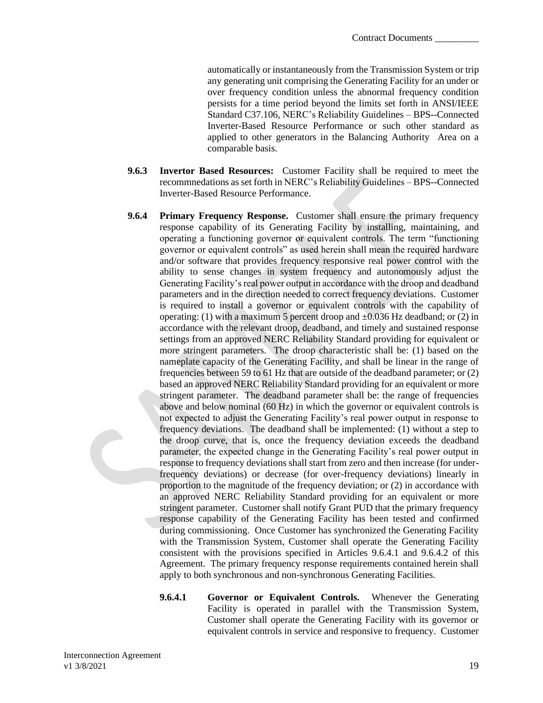automatically or instantaneously from the Transmission System or trip any generating unit comprising the Generating Facility for an under or over frequency condition unless the abnormal frequency condition persists for a time period beyond the limits set forth in ANSI/IEEE Standard C37.106, NERC's Reliability Guidelines – BPS--Connected Inverter-Based Resource Performance or such other standard as applied to other generators in the Balancing Authority Area on a comparable basis.

- **9.6.3 Invertor Based Resources:** Customer Facility shall be required to meet the recommnedations as set forth in NERC's Reliability Guidelines – BPS--Connected Inverter-Based Resource Performance.
- **9.6.4 Primary Frequency Response.** Customer shall ensure the primary frequency response capability of its Generating Facility by installing, maintaining, and operating a functioning governor or equivalent controls. The term "functioning governor or equivalent controls" as used herein shall mean the required hardware and/or software that provides frequency responsive real power control with the ability to sense changes in system frequency and autonomously adjust the Generating Facility's real power output in accordance with the droop and deadband parameters and in the direction needed to correct frequency deviations. Customer is required to install a governor or equivalent controls with the capability of operating: (1) with a maximum 5 percent droop and  $\pm 0.036$  Hz deadband; or (2) in accordance with the relevant droop, deadband, and timely and sustained response settings from an approved NERC Reliability Standard providing for equivalent or more stringent parameters. The droop characteristic shall be: (1) based on the nameplate capacity of the Generating Facility, and shall be linear in the range of frequencies between 59 to 61 Hz that are outside of the deadband parameter; or (2) based an approved NERC Reliability Standard providing for an equivalent or more stringent parameter. The deadband parameter shall be: the range of frequencies above and below nominal (60 Hz) in which the governor or equivalent controls is not expected to adjust the Generating Facility's real power output in response to frequency deviations. The deadband shall be implemented: (1) without a step to the droop curve, that is, once the frequency deviation exceeds the deadband parameter, the expected change in the Generating Facility's real power output in response to frequency deviations shall start from zero and then increase (for underfrequency deviations) or decrease (for over-frequency deviations) linearly in proportion to the magnitude of the frequency deviation; or (2) in accordance with an approved NERC Reliability Standard providing for an equivalent or more stringent parameter. Customer shall notify Grant PUD that the primary frequency response capability of the Generating Facility has been tested and confirmed during commissioning. Once Customer has synchronized the Generating Facility with the Transmission System, Customer shall operate the Generating Facility consistent with the provisions specified in Articles 9.6.4.1 and 9.6.4.2 of this Agreement. The primary frequency response requirements contained herein shall apply to both synchronous and non-synchronous Generating Facilities.
	- **9.6.4.1 Governor or Equivalent Controls.** Whenever the Generating Facility is operated in parallel with the Transmission System, Customer shall operate the Generating Facility with its governor or equivalent controls in service and responsive to frequency. Customer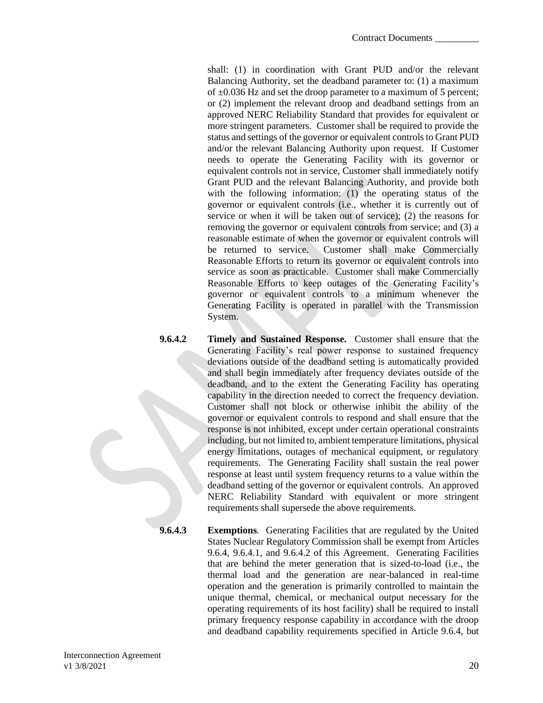shall: (1) in coordination with Grant PUD and/or the relevant Balancing Authority, set the deadband parameter to: (1) a maximum of  $\pm 0.036$  Hz and set the droop parameter to a maximum of 5 percent; or (2) implement the relevant droop and deadband settings from an approved NERC Reliability Standard that provides for equivalent or more stringent parameters. Customer shall be required to provide the status and settings of the governor or equivalent controls to Grant PUD and/or the relevant Balancing Authority upon request. If Customer needs to operate the Generating Facility with its governor or equivalent controls not in service, Customer shall immediately notify Grant PUD and the relevant Balancing Authority, and provide both with the following information: (1) the operating status of the governor or equivalent controls (i.e., whether it is currently out of service or when it will be taken out of service); (2) the reasons for removing the governor or equivalent controls from service; and (3) a reasonable estimate of when the governor or equivalent controls will be returned to service. Customer shall make Commercially Reasonable Efforts to return its governor or equivalent controls into service as soon as practicable. Customer shall make Commercially Reasonable Efforts to keep outages of the Generating Facility's governor or equivalent controls to a minimum whenever the Generating Facility is operated in parallel with the Transmission System.

- **9.6.4.2 Timely and Sustained Response.** Customer shall ensure that the Generating Facility's real power response to sustained frequency deviations outside of the deadband setting is automatically provided and shall begin immediately after frequency deviates outside of the deadband, and to the extent the Generating Facility has operating capability in the direction needed to correct the frequency deviation. Customer shall not block or otherwise inhibit the ability of the governor or equivalent controls to respond and shall ensure that the response is not inhibited, except under certain operational constraints including, but not limited to, ambient temperature limitations, physical energy limitations, outages of mechanical equipment, or regulatory requirements. The Generating Facility shall sustain the real power response at least until system frequency returns to a value within the deadband setting of the governor or equivalent controls. An approved NERC Reliability Standard with equivalent or more stringent requirements shall supersede the above requirements.
- 

**9.6.4.3 Exemptions**. Generating Facilities that are regulated by the United States Nuclear Regulatory Commission shall be exempt from Articles 9.6.4, 9.6.4.1, and 9.6.4.2 of this Agreement. Generating Facilities that are behind the meter generation that is sized-to-load (i.e., the thermal load and the generation are near-balanced in real-time operation and the generation is primarily controlled to maintain the unique thermal, chemical, or mechanical output necessary for the operating requirements of its host facility) shall be required to install primary frequency response capability in accordance with the droop and deadband capability requirements specified in Article 9.6.4, but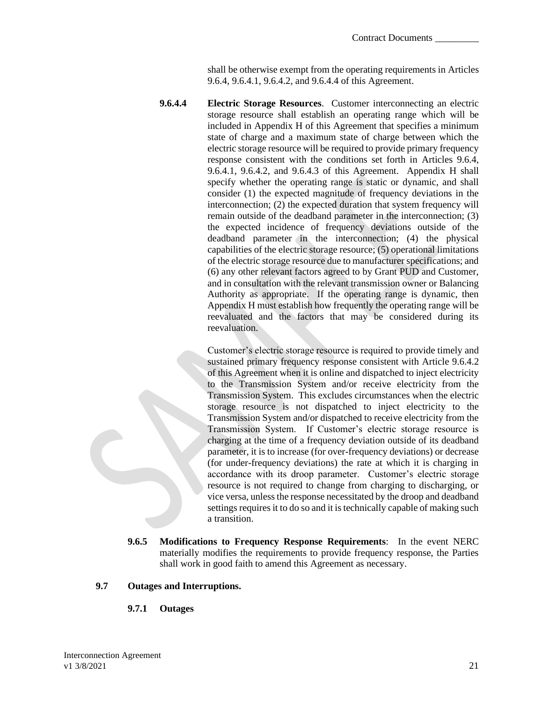shall be otherwise exempt from the operating requirements in Articles 9.6.4, 9.6.4.1, 9.6.4.2, and 9.6.4.4 of this Agreement.

**9.6.4.4 Electric Storage Resources**. Customer interconnecting an electric storage resource shall establish an operating range which will be included in Appendix H of this Agreement that specifies a minimum state of charge and a maximum state of charge between which the electric storage resource will be required to provide primary frequency response consistent with the conditions set forth in Articles 9.6.4, 9.6.4.1, 9.6.4.2, and 9.6.4.3 of this Agreement. Appendix H shall specify whether the operating range is static or dynamic, and shall consider (1) the expected magnitude of frequency deviations in the interconnection; (2) the expected duration that system frequency will remain outside of the deadband parameter in the interconnection; (3) the expected incidence of frequency deviations outside of the deadband parameter in the interconnection; (4) the physical capabilities of the electric storage resource; (5) operational limitations of the electric storage resource due to manufacturer specifications; and (6) any other relevant factors agreed to by Grant PUD and Customer, and in consultation with the relevant transmission owner or Balancing Authority as appropriate. If the operating range is dynamic, then Appendix H must establish how frequently the operating range will be reevaluated and the factors that may be considered during its reevaluation.

> Customer's electric storage resource is required to provide timely and sustained primary frequency response consistent with Article 9.6.4.2 of this Agreement when it is online and dispatched to inject electricity to the Transmission System and/or receive electricity from the Transmission System. This excludes circumstances when the electric storage resource is not dispatched to inject electricity to the Transmission System and/or dispatched to receive electricity from the Transmission System. If Customer's electric storage resource is charging at the time of a frequency deviation outside of its deadband parameter, it is to increase (for over-frequency deviations) or decrease (for under-frequency deviations) the rate at which it is charging in accordance with its droop parameter. Customer's electric storage resource is not required to change from charging to discharging, or vice versa, unless the response necessitated by the droop and deadband settings requires it to do so and it is technically capable of making such a transition.

**9.6.5 Modifications to Frequency Response Requirements**: In the event NERC materially modifies the requirements to provide frequency response, the Parties shall work in good faith to amend this Agreement as necessary.

### **9.7 Outages and Interruptions.**

**9.7.1 Outages**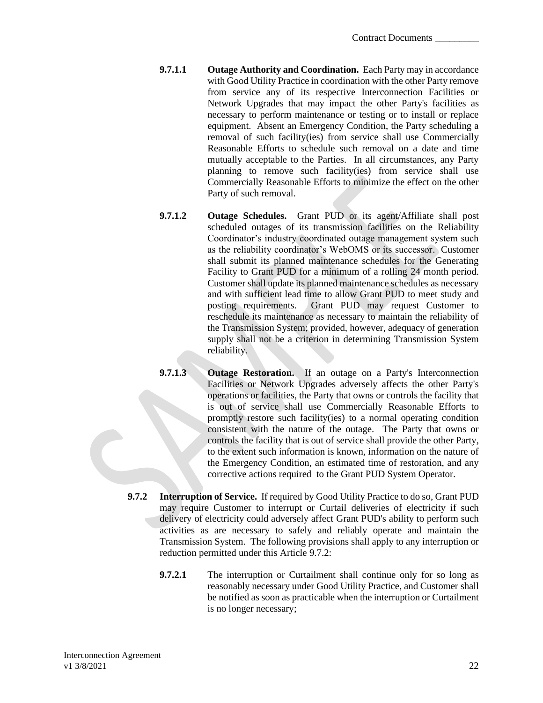- **9.7.1.1 Outage Authority and Coordination.** Each Party may in accordance with Good Utility Practice in coordination with the other Party remove from service any of its respective Interconnection Facilities or Network Upgrades that may impact the other Party's facilities as necessary to perform maintenance or testing or to install or replace equipment. Absent an Emergency Condition, the Party scheduling a removal of such facility(ies) from service shall use Commercially Reasonable Efforts to schedule such removal on a date and time mutually acceptable to the Parties. In all circumstances, any Party planning to remove such facility(ies) from service shall use Commercially Reasonable Efforts to minimize the effect on the other Party of such removal.
- **9.7.1.2 Outage Schedules.** Grant PUD or its agent/Affiliate shall post scheduled outages of its transmission facilities on the Reliability Coordinator's industry coordinated outage management system such as the reliability coordinator's WebOMS or its successor. Customer shall submit its planned maintenance schedules for the Generating Facility to Grant PUD for a minimum of a rolling 24 month period. Customer shall update its planned maintenance schedules as necessary and with sufficient lead time to allow Grant PUD to meet study and posting requirements. Grant PUD may request Customer to reschedule its maintenance as necessary to maintain the reliability of the Transmission System; provided, however, adequacy of generation supply shall not be a criterion in determining Transmission System reliability.
- **9.7.1.3 Outage Restoration.** If an outage on a Party's Interconnection Facilities or Network Upgrades adversely affects the other Party's operations or facilities, the Party that owns or controls the facility that is out of service shall use Commercially Reasonable Efforts to promptly restore such facility(ies) to a normal operating condition consistent with the nature of the outage. The Party that owns or controls the facility that is out of service shall provide the other Party, to the extent such information is known, information on the nature of the Emergency Condition, an estimated time of restoration, and any corrective actions required to the Grant PUD System Operator.
- **9.7.2 Interruption of Service.** If required by Good Utility Practice to do so, Grant PUD may require Customer to interrupt or Curtail deliveries of electricity if such delivery of electricity could adversely affect Grant PUD's ability to perform such activities as are necessary to safely and reliably operate and maintain the Transmission System. The following provisions shall apply to any interruption or reduction permitted under this Article 9.7.2:
	- **9.7.2.1** The interruption or Curtailment shall continue only for so long as reasonably necessary under Good Utility Practice, and Customer shall be notified as soon as practicable when the interruption or Curtailment is no longer necessary;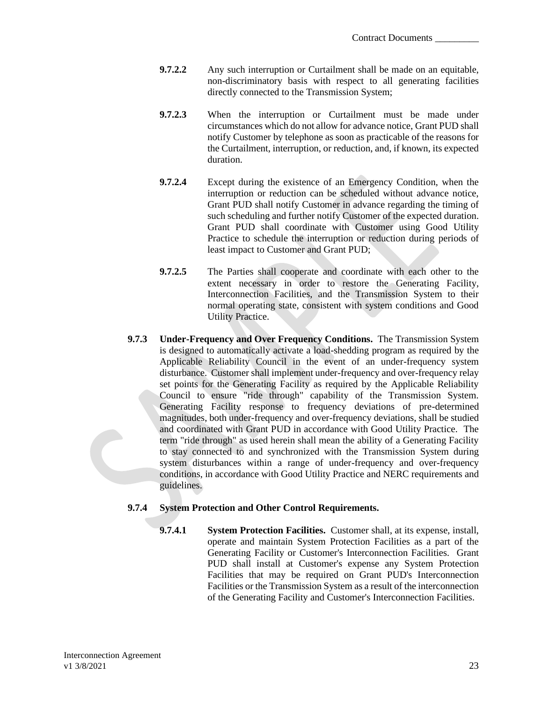- **9.7.2.2** Any such interruption or Curtailment shall be made on an equitable, non-discriminatory basis with respect to all generating facilities directly connected to the Transmission System;
- **9.7.2.3** When the interruption or Curtailment must be made under circumstances which do not allow for advance notice, Grant PUD shall notify Customer by telephone as soon as practicable of the reasons for the Curtailment, interruption, or reduction, and, if known, its expected duration.
- **9.7.2.4** Except during the existence of an Emergency Condition, when the interruption or reduction can be scheduled without advance notice, Grant PUD shall notify Customer in advance regarding the timing of such scheduling and further notify Customer of the expected duration. Grant PUD shall coordinate with Customer using Good Utility Practice to schedule the interruption or reduction during periods of least impact to Customer and Grant PUD;
- **9.7.2.5** The Parties shall cooperate and coordinate with each other to the extent necessary in order to restore the Generating Facility, Interconnection Facilities, and the Transmission System to their normal operating state, consistent with system conditions and Good Utility Practice.
- **9.7.3 Under-Frequency and Over Frequency Conditions.** The Transmission System is designed to automatically activate a load-shedding program as required by the Applicable Reliability Council in the event of an under-frequency system disturbance. Customer shall implement under-frequency and over-frequency relay set points for the Generating Facility as required by the Applicable Reliability Council to ensure "ride through" capability of the Transmission System. Generating Facility response to frequency deviations of pre-determined magnitudes, both under-frequency and over-frequency deviations, shall be studied and coordinated with Grant PUD in accordance with Good Utility Practice. The term "ride through" as used herein shall mean the ability of a Generating Facility to stay connected to and synchronized with the Transmission System during system disturbances within a range of under-frequency and over-frequency conditions, in accordance with Good Utility Practice and NERC requirements and guidelines.

## **9.7.4 System Protection and Other Control Requirements.**

**9.7.4.1 System Protection Facilities.** Customer shall, at its expense, install, operate and maintain System Protection Facilities as a part of the Generating Facility or Customer's Interconnection Facilities. Grant PUD shall install at Customer's expense any System Protection Facilities that may be required on Grant PUD's Interconnection Facilities or the Transmission System as a result of the interconnection of the Generating Facility and Customer's Interconnection Facilities.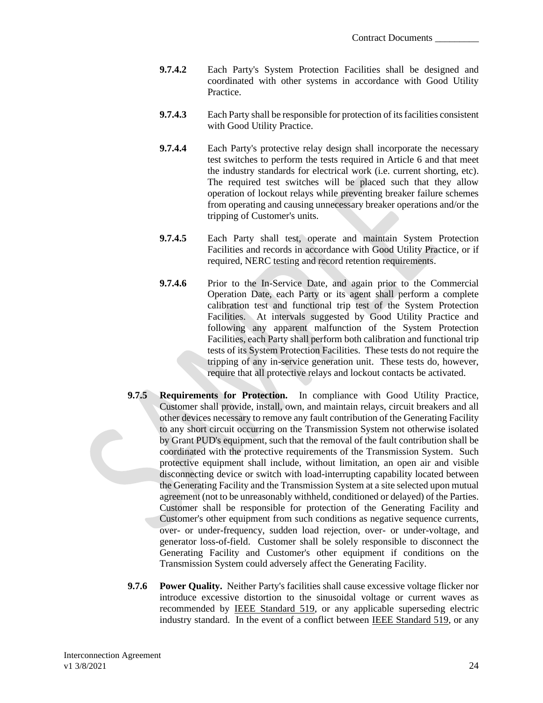- **9.7.4.2** Each Party's System Protection Facilities shall be designed and coordinated with other systems in accordance with Good Utility **Practice**
- **9.7.4.3** Each Party shall be responsible for protection of its facilities consistent with Good Utility Practice.
- **9.7.4.4** Each Party's protective relay design shall incorporate the necessary test switches to perform the tests required in Article 6 and that meet the industry standards for electrical work (i.e. current shorting, etc). The required test switches will be placed such that they allow operation of lockout relays while preventing breaker failure schemes from operating and causing unnecessary breaker operations and/or the tripping of Customer's units.
- **9.7.4.5** Each Party shall test, operate and maintain System Protection Facilities and records in accordance with Good Utility Practice, or if required, NERC testing and record retention requirements.
- **9.7.4.6** Prior to the In-Service Date, and again prior to the Commercial Operation Date, each Party or its agent shall perform a complete calibration test and functional trip test of the System Protection Facilities. At intervals suggested by Good Utility Practice and following any apparent malfunction of the System Protection Facilities, each Party shall perform both calibration and functional trip tests of its System Protection Facilities. These tests do not require the tripping of any in-service generation unit. These tests do, however, require that all protective relays and lockout contacts be activated.
- **9.7.5 Requirements for Protection.** In compliance with Good Utility Practice, Customer shall provide, install, own, and maintain relays, circuit breakers and all other devices necessary to remove any fault contribution of the Generating Facility to any short circuit occurring on the Transmission System not otherwise isolated by Grant PUD's equipment, such that the removal of the fault contribution shall be coordinated with the protective requirements of the Transmission System. Such protective equipment shall include, without limitation, an open air and visible disconnecting device or switch with load-interrupting capability located between the Generating Facility and the Transmission System at a site selected upon mutual agreement (not to be unreasonably withheld, conditioned or delayed) of the Parties. Customer shall be responsible for protection of the Generating Facility and Customer's other equipment from such conditions as negative sequence currents, over- or under-frequency, sudden load rejection, over- or under-voltage, and generator loss-of-field. Customer shall be solely responsible to disconnect the Generating Facility and Customer's other equipment if conditions on the Transmission System could adversely affect the Generating Facility.
- **9.7.6 Power Quality.** Neither Party's facilities shall cause excessive voltage flicker nor introduce excessive distortion to the sinusoidal voltage or current waves as recommended by IEEE Standard 519, or any applicable superseding electric industry standard. In the event of a conflict between IEEE Standard 519, or any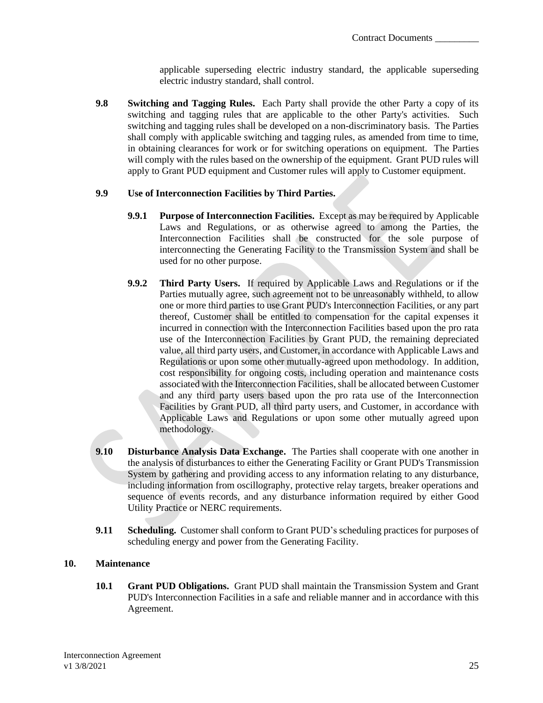applicable superseding electric industry standard, the applicable superseding electric industry standard, shall control.

**9.8 Switching and Tagging Rules.** Each Party shall provide the other Party a copy of its switching and tagging rules that are applicable to the other Party's activities. Such switching and tagging rules shall be developed on a non-discriminatory basis. The Parties shall comply with applicable switching and tagging rules, as amended from time to time, in obtaining clearances for work or for switching operations on equipment. The Parties will comply with the rules based on the ownership of the equipment. Grant PUD rules will apply to Grant PUD equipment and Customer rules will apply to Customer equipment.

### **9.9 Use of Interconnection Facilities by Third Parties.**

- **9.9.1 Purpose of Interconnection Facilities.** Except as may be required by Applicable Laws and Regulations, or as otherwise agreed to among the Parties, the Interconnection Facilities shall be constructed for the sole purpose of interconnecting the Generating Facility to the Transmission System and shall be used for no other purpose.
- **9.9.2 Third Party Users.** If required by Applicable Laws and Regulations or if the Parties mutually agree, such agreement not to be unreasonably withheld, to allow one or more third parties to use Grant PUD's Interconnection Facilities, or any part thereof, Customer shall be entitled to compensation for the capital expenses it incurred in connection with the Interconnection Facilities based upon the pro rata use of the Interconnection Facilities by Grant PUD, the remaining depreciated value, all third party users, and Customer, in accordance with Applicable Laws and Regulations or upon some other mutually-agreed upon methodology. In addition, cost responsibility for ongoing costs, including operation and maintenance costs associated with the Interconnection Facilities, shall be allocated between Customer and any third party users based upon the pro rata use of the Interconnection Facilities by Grant PUD, all third party users, and Customer, in accordance with Applicable Laws and Regulations or upon some other mutually agreed upon methodology.
- **9.10 Disturbance Analysis Data Exchange.** The Parties shall cooperate with one another in the analysis of disturbances to either the Generating Facility or Grant PUD's Transmission System by gathering and providing access to any information relating to any disturbance, including information from oscillography, protective relay targets, breaker operations and sequence of events records, and any disturbance information required by either Good Utility Practice or NERC requirements.
- **9.11 Scheduling.** Customer shall conform to Grant PUD's scheduling practices for purposes of scheduling energy and power from the Generating Facility.

## <span id="page-27-0"></span>**10. Maintenance**

**10.1 Grant PUD Obligations.** Grant PUD shall maintain the Transmission System and Grant PUD's Interconnection Facilities in a safe and reliable manner and in accordance with this Agreement.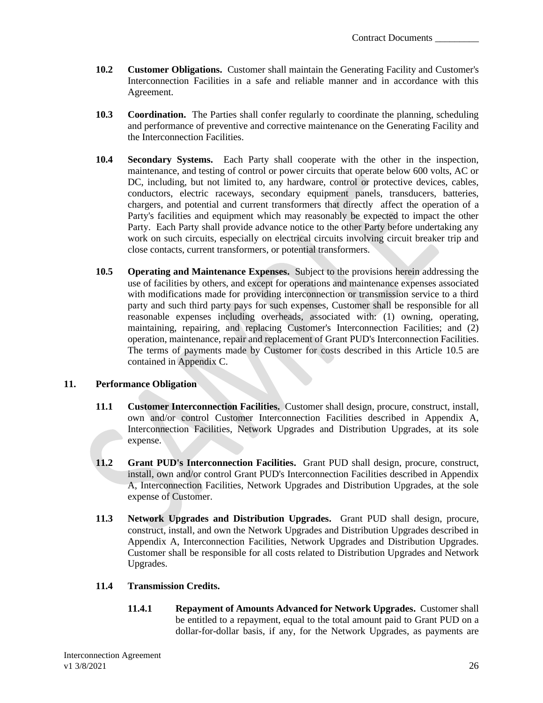- **10.2 Customer Obligations.** Customer shall maintain the Generating Facility and Customer's Interconnection Facilities in a safe and reliable manner and in accordance with this Agreement.
- **10.3 Coordination.** The Parties shall confer regularly to coordinate the planning, scheduling and performance of preventive and corrective maintenance on the Generating Facility and the Interconnection Facilities.
- **10.4 Secondary Systems.** Each Party shall cooperate with the other in the inspection, maintenance, and testing of control or power circuits that operate below 600 volts, AC or DC, including, but not limited to, any hardware, control or protective devices, cables, conductors, electric raceways, secondary equipment panels, transducers, batteries, chargers, and potential and current transformers that directly affect the operation of a Party's facilities and equipment which may reasonably be expected to impact the other Party. Each Party shall provide advance notice to the other Party before undertaking any work on such circuits, especially on electrical circuits involving circuit breaker trip and close contacts, current transformers, or potential transformers.
- **10.5 Operating and Maintenance Expenses.** Subject to the provisions herein addressing the use of facilities by others, and except for operations and maintenance expenses associated with modifications made for providing interconnection or transmission service to a third party and such third party pays for such expenses, Customer shall be responsible for all reasonable expenses including overheads, associated with: (1) owning, operating, maintaining, repairing, and replacing Customer's Interconnection Facilities; and (2) operation, maintenance, repair and replacement of Grant PUD's Interconnection Facilities. The terms of payments made by Customer for costs described in this Article 10.5 are contained in Appendix C.

### <span id="page-28-0"></span>**11. Performance Obligation**

- **11.1 Customer Interconnection Facilities.** Customer shall design, procure, construct, install, own and/or control Customer Interconnection Facilities described in Appendix A, Interconnection Facilities, Network Upgrades and Distribution Upgrades, at its sole expense.
- **11.2 Grant PUD's Interconnection Facilities.** Grant PUD shall design, procure, construct, install, own and/or control Grant PUD's Interconnection Facilities described in Appendix A, Interconnection Facilities, Network Upgrades and Distribution Upgrades, at the sole expense of Customer.
- **11.3 Network Upgrades and Distribution Upgrades.** Grant PUD shall design, procure, construct, install, and own the Network Upgrades and Distribution Upgrades described in Appendix A, Interconnection Facilities, Network Upgrades and Distribution Upgrades. Customer shall be responsible for all costs related to Distribution Upgrades and Network Upgrades.

### **11.4 Transmission Credits.**

**11.4.1 Repayment of Amounts Advanced for Network Upgrades.** Customer shall be entitled to a repayment, equal to the total amount paid to Grant PUD on a dollar-for-dollar basis, if any, for the Network Upgrades, as payments are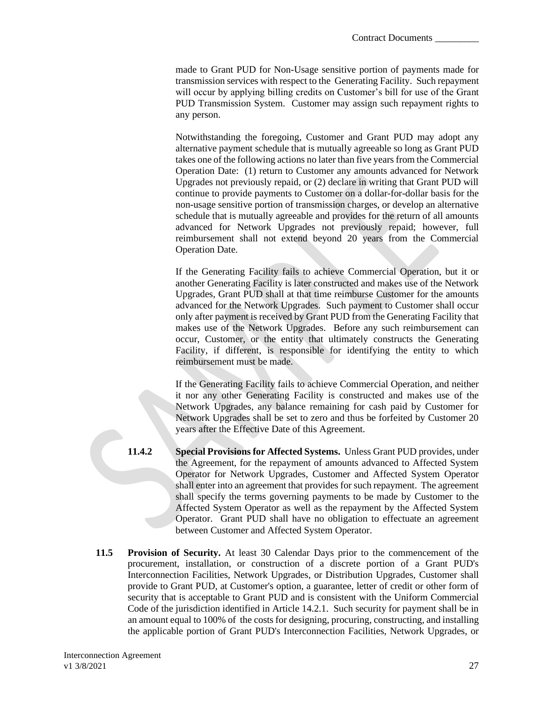made to Grant PUD for Non-Usage sensitive portion of payments made for transmission services with respect to the Generating Facility. Such repayment will occur by applying billing credits on Customer's bill for use of the Grant PUD Transmission System. Customer may assign such repayment rights to any person.

Notwithstanding the foregoing, Customer and Grant PUD may adopt any alternative payment schedule that is mutually agreeable so long as Grant PUD takes one of the following actions no later than five years from the Commercial Operation Date: (1) return to Customer any amounts advanced for Network Upgrades not previously repaid, or (2) declare in writing that Grant PUD will continue to provide payments to Customer on a dollar-for-dollar basis for the non-usage sensitive portion of transmission charges, or develop an alternative schedule that is mutually agreeable and provides for the return of all amounts advanced for Network Upgrades not previously repaid; however, full reimbursement shall not extend beyond 20 years from the Commercial Operation Date.

If the Generating Facility fails to achieve Commercial Operation, but it or another Generating Facility is later constructed and makes use of the Network Upgrades, Grant PUD shall at that time reimburse Customer for the amounts advanced for the Network Upgrades. Such payment to Customer shall occur only after payment is received by Grant PUD from the Generating Facility that makes use of the Network Upgrades. Before any such reimbursement can occur, Customer, or the entity that ultimately constructs the Generating Facility, if different, is responsible for identifying the entity to which reimbursement must be made.

If the Generating Facility fails to achieve Commercial Operation, and neither it nor any other Generating Facility is constructed and makes use of the Network Upgrades, any balance remaining for cash paid by Customer for Network Upgrades shall be set to zero and thus be forfeited by Customer 20 years after the Effective Date of this Agreement.

- **11.4.2 Special Provisions for Affected Systems.** Unless Grant PUD provides, under the Agreement, for the repayment of amounts advanced to Affected System Operator for Network Upgrades, Customer and Affected System Operator shall enter into an agreement that provides for such repayment. The agreement shall specify the terms governing payments to be made by Customer to the Affected System Operator as well as the repayment by the Affected System Operator. Grant PUD shall have no obligation to effectuate an agreement between Customer and Affected System Operator.
	- **11.5 Provision of Security.** At least 30 Calendar Days prior to the commencement of the procurement, installation, or construction of a discrete portion of a Grant PUD's Interconnection Facilities, Network Upgrades, or Distribution Upgrades, Customer shall provide to Grant PUD, at Customer's option, a guarantee, letter of credit or other form of security that is acceptable to Grant PUD and is consistent with the Uniform Commercial Code of the jurisdiction identified in Article 14.2.1. Such security for payment shall be in an amount equal to 100% of the costs for designing, procuring, constructing, and installing the applicable portion of Grant PUD's Interconnection Facilities, Network Upgrades, or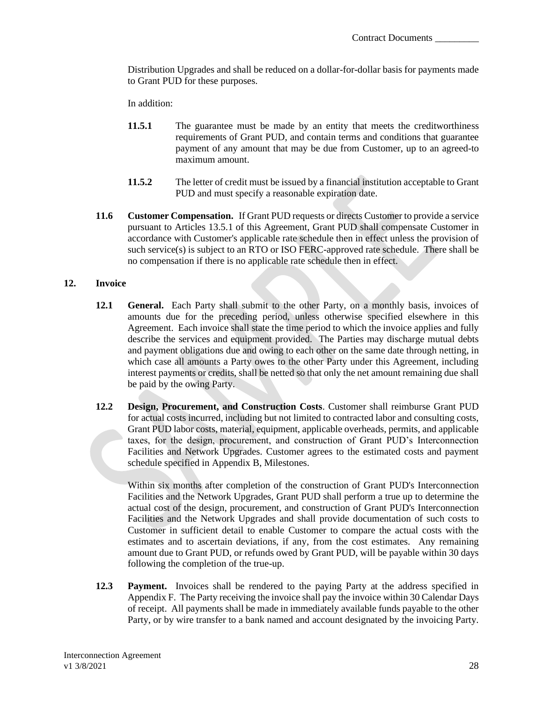Distribution Upgrades and shall be reduced on a dollar-for-dollar basis for payments made to Grant PUD for these purposes.

In addition:

- **11.5.1** The guarantee must be made by an entity that meets the creditworthiness requirements of Grant PUD, and contain terms and conditions that guarantee payment of any amount that may be due from Customer, up to an agreed-to maximum amount.
- **11.5.2** The letter of credit must be issued by a financial institution acceptable to Grant PUD and must specify a reasonable expiration date.
- **11.6 Customer Compensation.** If Grant PUD requests or directs Customer to provide a service pursuant to Articles 13.5.1 of this Agreement, Grant PUD shall compensate Customer in accordance with Customer's applicable rate schedule then in effect unless the provision of such service(s) is subject to an RTO or ISO FERC-approved rate schedule. There shall be no compensation if there is no applicable rate schedule then in effect.

### <span id="page-30-0"></span>**12. Invoice**

- **12.1 General.** Each Party shall submit to the other Party, on a monthly basis, invoices of amounts due for the preceding period, unless otherwise specified elsewhere in this Agreement. Each invoice shall state the time period to which the invoice applies and fully describe the services and equipment provided. The Parties may discharge mutual debts and payment obligations due and owing to each other on the same date through netting, in which case all amounts a Party owes to the other Party under this Agreement, including interest payments or credits, shall be netted so that only the net amount remaining due shall be paid by the owing Party.
- **12.2 Design, Procurement, and Construction Costs**. Customer shall reimburse Grant PUD for actual costs incurred, including but not limited to contracted labor and consulting costs, Grant PUD labor costs, material, equipment, applicable overheads, permits, and applicable taxes, for the design, procurement, and construction of Grant PUD's Interconnection Facilities and Network Upgrades. Customer agrees to the estimated costs and payment schedule specified in Appendix B, Milestones.

Within six months after completion of the construction of Grant PUD's Interconnection Facilities and the Network Upgrades, Grant PUD shall perform a true up to determine the actual cost of the design, procurement, and construction of Grant PUD's Interconnection Facilities and the Network Upgrades and shall provide documentation of such costs to Customer in sufficient detail to enable Customer to compare the actual costs with the estimates and to ascertain deviations, if any, from the cost estimates. Any remaining amount due to Grant PUD, or refunds owed by Grant PUD, will be payable within 30 days following the completion of the true-up.

**12.3 Payment.** Invoices shall be rendered to the paying Party at the address specified in Appendix F. The Party receiving the invoice shall pay the invoice within 30 Calendar Days of receipt. All payments shall be made in immediately available funds payable to the other Party, or by wire transfer to a bank named and account designated by the invoicing Party.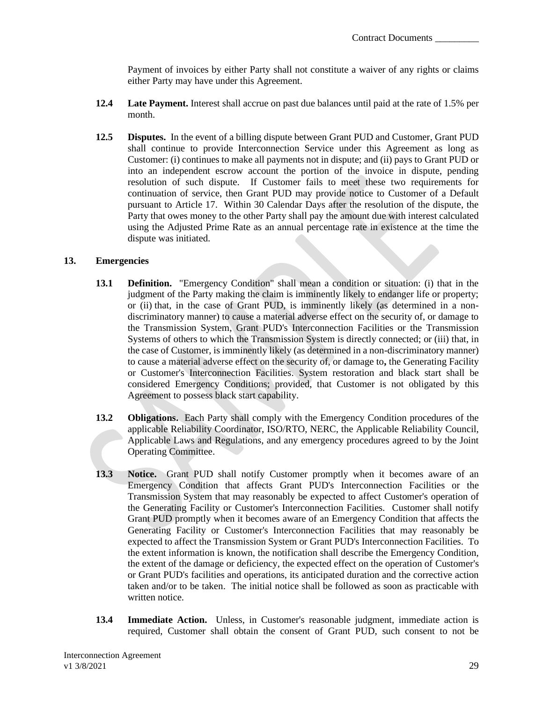Payment of invoices by either Party shall not constitute a waiver of any rights or claims either Party may have under this Agreement.

- **12.4 Late Payment.** Interest shall accrue on past due balances until paid at the rate of 1.5% per month.
- **12.5 Disputes.** In the event of a billing dispute between Grant PUD and Customer, Grant PUD shall continue to provide Interconnection Service under this Agreement as long as Customer: (i) continues to make all payments not in dispute; and (ii) pays to Grant PUD or into an independent escrow account the portion of the invoice in dispute, pending resolution of such dispute. If Customer fails to meet these two requirements for continuation of service, then Grant PUD may provide notice to Customer of a Default pursuant to Article 17. Within 30 Calendar Days after the resolution of the dispute, the Party that owes money to the other Party shall pay the amount due with interest calculated using the Adjusted Prime Rate as an annual percentage rate in existence at the time the dispute was initiated.

#### <span id="page-31-0"></span>**13. Emergencies**

- **13.1 Definition.** "Emergency Condition" shall mean a condition or situation: (i) that in the judgment of the Party making the claim is imminently likely to endanger life or property; or (ii) that, in the case of Grant PUD, is imminently likely (as determined in a nondiscriminatory manner) to cause a material adverse effect on the security of, or damage to the Transmission System, Grant PUD's Interconnection Facilities or the Transmission Systems of others to which the Transmission System is directly connected; or (iii) that, in the case of Customer, is imminently likely (as determined in a non-discriminatory manner) to cause a material adverse effect on the security of, or damage to**,** the Generating Facility or Customer's Interconnection Facilities. System restoration and black start shall be considered Emergency Conditions; provided, that Customer is not obligated by this Agreement to possess black start capability.
- **13.2 Obligations.** Each Party shall comply with the Emergency Condition procedures of the applicable Reliability Coordinator, ISO/RTO, NERC, the Applicable Reliability Council, Applicable Laws and Regulations, and any emergency procedures agreed to by the Joint Operating Committee.
- **13.3 Notice.** Grant PUD shall notify Customer promptly when it becomes aware of an Emergency Condition that affects Grant PUD's Interconnection Facilities or the Transmission System that may reasonably be expected to affect Customer's operation of the Generating Facility or Customer's Interconnection Facilities. Customer shall notify Grant PUD promptly when it becomes aware of an Emergency Condition that affects the Generating Facility or Customer's Interconnection Facilities that may reasonably be expected to affect the Transmission System or Grant PUD's Interconnection Facilities. To the extent information is known, the notification shall describe the Emergency Condition, the extent of the damage or deficiency, the expected effect on the operation of Customer's or Grant PUD's facilities and operations, its anticipated duration and the corrective action taken and/or to be taken. The initial notice shall be followed as soon as practicable with written notice.
- **13.4 Immediate Action.** Unless, in Customer's reasonable judgment, immediate action is required, Customer shall obtain the consent of Grant PUD, such consent to not be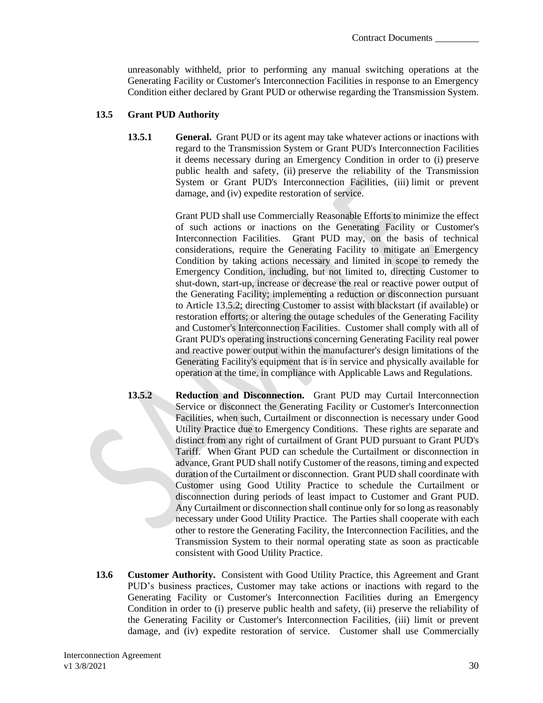unreasonably withheld, prior to performing any manual switching operations at the Generating Facility or Customer's Interconnection Facilities in response to an Emergency Condition either declared by Grant PUD or otherwise regarding the Transmission System.

### **13.5 Grant PUD Authority**

**13.5.1 General.** Grant PUD or its agent may take whatever actions or inactions with regard to the Transmission System or Grant PUD's Interconnection Facilities it deems necessary during an Emergency Condition in order to (i) preserve public health and safety, (ii) preserve the reliability of the Transmission System or Grant PUD's Interconnection Facilities, (iii) limit or prevent damage, and (iv) expedite restoration of service.

> Grant PUD shall use Commercially Reasonable Efforts to minimize the effect of such actions or inactions on the Generating Facility or Customer's Interconnection Facilities. Grant PUD may, on the basis of technical considerations, require the Generating Facility to mitigate an Emergency Condition by taking actions necessary and limited in scope to remedy the Emergency Condition, including, but not limited to, directing Customer to shut-down, start-up, increase or decrease the real or reactive power output of the Generating Facility; implementing a reduction or disconnection pursuant to Article 13.5.2; directing Customer to assist with blackstart (if available) or restoration efforts; or altering the outage schedules of the Generating Facility and Customer's Interconnection Facilities. Customer shall comply with all of Grant PUD's operating instructions concerning Generating Facility real power and reactive power output within the manufacturer's design limitations of the Generating Facility's equipment that is in service and physically available for operation at the time, in compliance with Applicable Laws and Regulations.

- **13.5.2 Reduction and Disconnection.** Grant PUD may Curtail Interconnection Service or disconnect the Generating Facility or Customer's Interconnection Facilities, when such, Curtailment or disconnection is necessary under Good Utility Practice due to Emergency Conditions. These rights are separate and distinct from any right of curtailment of Grant PUD pursuant to Grant PUD's Tariff. When Grant PUD can schedule the Curtailment or disconnection in advance, Grant PUD shall notify Customer of the reasons, timing and expected duration of the Curtailment or disconnection. Grant PUD shall coordinate with Customer using Good Utility Practice to schedule the Curtailment or disconnection during periods of least impact to Customer and Grant PUD. Any Curtailment or disconnection shall continue only for so long as reasonably necessary under Good Utility Practice. The Parties shall cooperate with each other to restore the Generating Facility, the Interconnection Facilities, and the Transmission System to their normal operating state as soon as practicable consistent with Good Utility Practice.
- **13.6 Customer Authority.** Consistent with Good Utility Practice, this Agreement and Grant PUD's business practices, Customer may take actions or inactions with regard to the Generating Facility or Customer's Interconnection Facilities during an Emergency Condition in order to (i) preserve public health and safety, (ii) preserve the reliability of the Generating Facility or Customer's Interconnection Facilities, (iii) limit or prevent damage, and (iv) expedite restoration of service. Customer shall use Commercially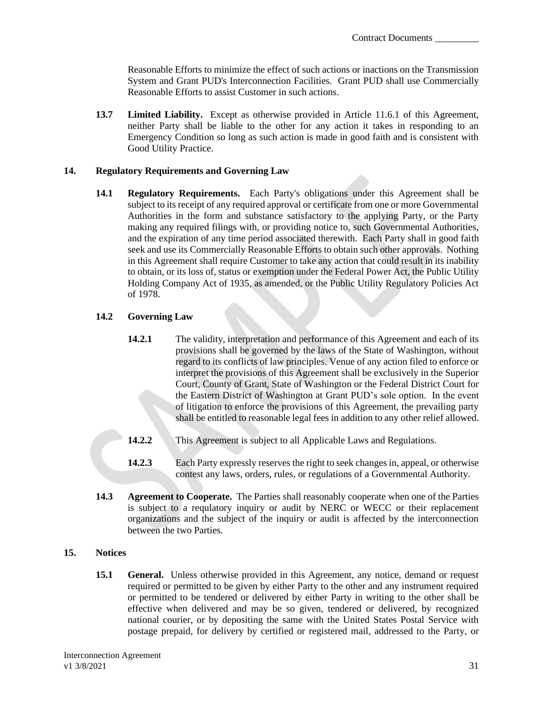Reasonable Efforts to minimize the effect of such actions or inactions on the Transmission System and Grant PUD's Interconnection Facilities. Grant PUD shall use Commercially Reasonable Efforts to assist Customer in such actions.

**13.7 Limited Liability.** Except as otherwise provided in Article 11.6.1 of this Agreement, neither Party shall be liable to the other for any action it takes in responding to an Emergency Condition so long as such action is made in good faith and is consistent with Good Utility Practice.

## <span id="page-33-0"></span>**14. Regulatory Requirements and Governing Law**

**14.1 Regulatory Requirements.** Each Party's obligations under this Agreement shall be subject to its receipt of any required approval or certificate from one or more Governmental Authorities in the form and substance satisfactory to the applying Party, or the Party making any required filings with, or providing notice to, such Governmental Authorities, and the expiration of any time period associated therewith. Each Party shall in good faith seek and use its Commercially Reasonable Efforts to obtain such other approvals. Nothing in this Agreement shall require Customer to take any action that could result in its inability to obtain, or its loss of, status or exemption under the Federal Power Act, the Public Utility Holding Company Act of 1935, as amended, or the Public Utility Regulatory Policies Act of 1978.

## **14.2 Governing Law**

- **14.2.1** The validity, interpretation and performance of this Agreement and each of its provisions shall be governed by the laws of the State of Washington, without regard to its conflicts of law principles. Venue of any action filed to enforce or interpret the provisions of this Agreement shall be exclusively in the Superior Court, County of Grant, State of Washington or the Federal District Court for the Eastern District of Washington at Grant PUD's sole option. In the event of litigation to enforce the provisions of this Agreement, the prevailing party shall be entitled to reasonable legal fees in addition to any other relief allowed.
- 14.2.2 This Agreement is subject to all Applicable Laws and Regulations.
- **14.2.3** Each Party expressly reserves the right to seek changes in, appeal, or otherwise contest any laws, orders, rules, or regulations of a Governmental Authority.
- **14.3 Agreement to Cooperate.** The Parties shall reasonably cooperate when one of the Parties is subject to a requlatory inquiry or audit by NERC or WECC or their replacement organizations and the subject of the inquiry or audit is affected by the interconnection between the two Parties.

### <span id="page-33-1"></span>**15. Notices**

**15.1 • General.** Unless otherwise provided in this Agreement, any notice, demand or request required or permitted to be given by either Party to the other and any instrument required or permitted to be tendered or delivered by either Party in writing to the other shall be effective when delivered and may be so given, tendered or delivered, by recognized national courier, or by depositing the same with the United States Postal Service with postage prepaid, for delivery by certified or registered mail, addressed to the Party, or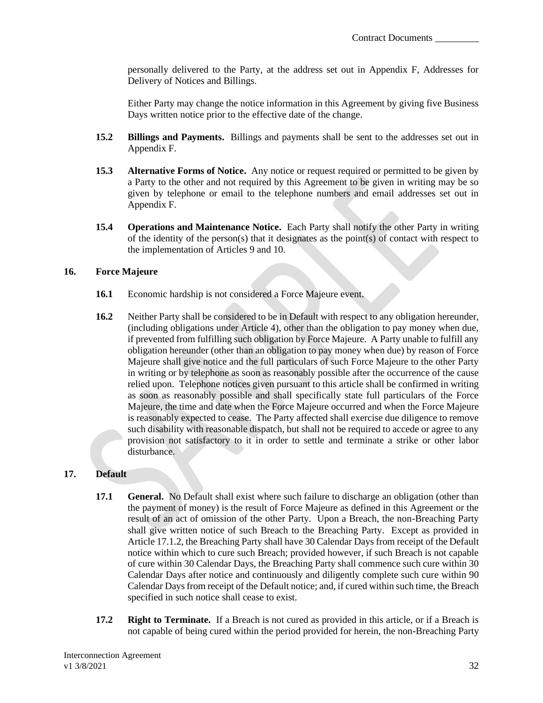personally delivered to the Party, at the address set out in Appendix F, Addresses for Delivery of Notices and Billings.

Either Party may change the notice information in this Agreement by giving five Business Days written notice prior to the effective date of the change.

- **15.2 Billings and Payments.** Billings and payments shall be sent to the addresses set out in Appendix F.
- **15.3 Alternative Forms of Notice.** Any notice or request required or permitted to be given by a Party to the other and not required by this Agreement to be given in writing may be so given by telephone or email to the telephone numbers and email addresses set out in Appendix F.
- **15.4 Operations and Maintenance Notice.** Each Party shall notify the other Party in writing of the identity of the person(s) that it designates as the point(s) of contact with respect to the implementation of Articles 9 and 10.

### <span id="page-34-0"></span>**16. Force Majeure**

- **16.1** Economic hardship is not considered a Force Majeure event.
- **16.2** Neither Party shall be considered to be in Default with respect to any obligation hereunder, (including obligations under Article 4), other than the obligation to pay money when due, if prevented from fulfilling such obligation by Force Majeure. A Party unable to fulfill any obligation hereunder (other than an obligation to pay money when due) by reason of Force Majeure shall give notice and the full particulars of such Force Majeure to the other Party in writing or by telephone as soon as reasonably possible after the occurrence of the cause relied upon. Telephone notices given pursuant to this article shall be confirmed in writing as soon as reasonably possible and shall specifically state full particulars of the Force Majeure, the time and date when the Force Majeure occurred and when the Force Majeure is reasonably expected to cease. The Party affected shall exercise due diligence to remove such disability with reasonable dispatch, but shall not be required to accede or agree to any provision not satisfactory to it in order to settle and terminate a strike or other labor disturbance.

## <span id="page-34-1"></span>**17. Default**

- **17.1 General.** No Default shall exist where such failure to discharge an obligation (other than the payment of money) is the result of Force Majeure as defined in this Agreement or the result of an act of omission of the other Party. Upon a Breach, the non-Breaching Party shall give written notice of such Breach to the Breaching Party. Except as provided in Article 17.1.2, the Breaching Party shall have 30 Calendar Days from receipt of the Default notice within which to cure such Breach; provided however, if such Breach is not capable of cure within 30 Calendar Days, the Breaching Party shall commence such cure within 30 Calendar Days after notice and continuously and diligently complete such cure within 90 Calendar Days from receipt of the Default notice; and, if cured within such time, the Breach specified in such notice shall cease to exist.
- **17.2 Right to Terminate.** If a Breach is not cured as provided in this article, or if a Breach is not capable of being cured within the period provided for herein, the non-Breaching Party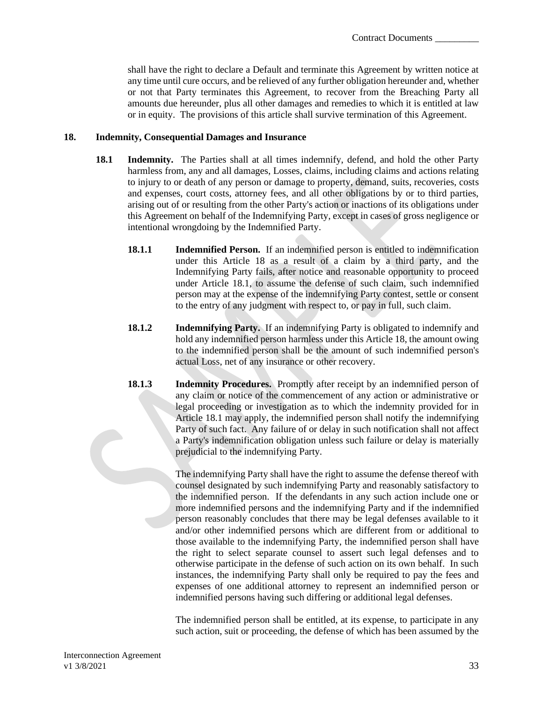shall have the right to declare a Default and terminate this Agreement by written notice at any time until cure occurs, and be relieved of any further obligation hereunder and, whether or not that Party terminates this Agreement, to recover from the Breaching Party all amounts due hereunder, plus all other damages and remedies to which it is entitled at law or in equity. The provisions of this article shall survive termination of this Agreement.

### <span id="page-35-0"></span>**18. Indemnity, Consequential Damages and Insurance**

- **18.1 Indemnity.** The Parties shall at all times indemnify, defend, and hold the other Party harmless from, any and all damages, Losses, claims, including claims and actions relating to injury to or death of any person or damage to property, demand, suits, recoveries, costs and expenses, court costs, attorney fees, and all other obligations by or to third parties, arising out of or resulting from the other Party's action or inactions of its obligations under this Agreement on behalf of the Indemnifying Party, except in cases of gross negligence or intentional wrongdoing by the Indemnified Party.
	- **18.1.1 Indemnified Person.** If an indemnified person is entitled to indemnification under this Article 18 as a result of a claim by a third party, and the Indemnifying Party fails, after notice and reasonable opportunity to proceed under Article 18.1, to assume the defense of such claim, such indemnified person may at the expense of the indemnifying Party contest, settle or consent to the entry of any judgment with respect to, or pay in full, such claim.
	- **18.1.2 Indemnifying Party.** If an indemnifying Party is obligated to indemnify and hold any indemnified person harmless under this Article 18, the amount owing to the indemnified person shall be the amount of such indemnified person's actual Loss, net of any insurance or other recovery.
	- **18.1.3 Indemnity Procedures.** Promptly after receipt by an indemnified person of any claim or notice of the commencement of any action or administrative or legal proceeding or investigation as to which the indemnity provided for in Article 18.1 may apply, the indemnified person shall notify the indemnifying Party of such fact. Any failure of or delay in such notification shall not affect a Party's indemnification obligation unless such failure or delay is materially prejudicial to the indemnifying Party.

The indemnifying Party shall have the right to assume the defense thereof with counsel designated by such indemnifying Party and reasonably satisfactory to the indemnified person. If the defendants in any such action include one or more indemnified persons and the indemnifying Party and if the indemnified person reasonably concludes that there may be legal defenses available to it and/or other indemnified persons which are different from or additional to those available to the indemnifying Party, the indemnified person shall have the right to select separate counsel to assert such legal defenses and to otherwise participate in the defense of such action on its own behalf. In such instances, the indemnifying Party shall only be required to pay the fees and expenses of one additional attorney to represent an indemnified person or indemnified persons having such differing or additional legal defenses.

The indemnified person shall be entitled, at its expense, to participate in any such action, suit or proceeding, the defense of which has been assumed by the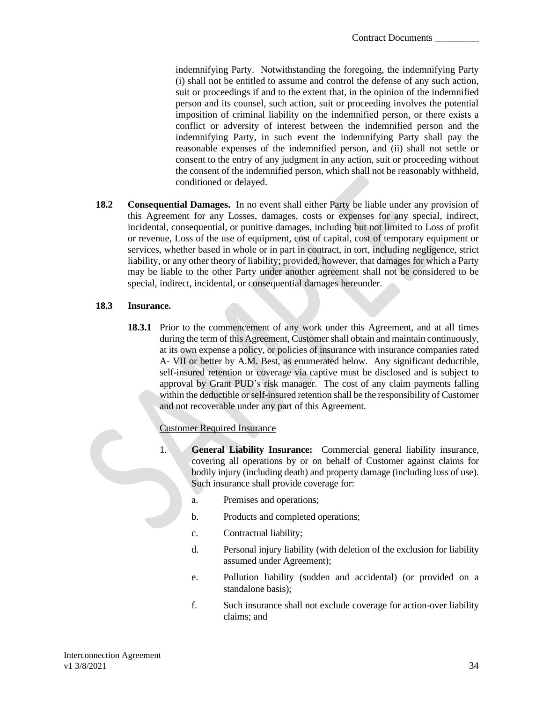indemnifying Party. Notwithstanding the foregoing, the indemnifying Party (i) shall not be entitled to assume and control the defense of any such action, suit or proceedings if and to the extent that, in the opinion of the indemnified person and its counsel, such action, suit or proceeding involves the potential imposition of criminal liability on the indemnified person, or there exists a conflict or adversity of interest between the indemnified person and the indemnifying Party, in such event the indemnifying Party shall pay the reasonable expenses of the indemnified person, and (ii) shall not settle or consent to the entry of any judgment in any action, suit or proceeding without the consent of the indemnified person, which shall not be reasonably withheld, conditioned or delayed.

**18.2 Consequential Damages.** In no event shall either Party be liable under any provision of this Agreement for any Losses, damages, costs or expenses for any special, indirect, incidental, consequential, or punitive damages, including but not limited to Loss of profit or revenue, Loss of the use of equipment, cost of capital, cost of temporary equipment or services, whether based in whole or in part in contract, in tort, including negligence, strict liability, or any other theory of liability; provided, however, that damages for which a Party may be liable to the other Party under another agreement shall not be considered to be special, indirect, incidental, or consequential damages hereunder.

### **18.3 Insurance.**

**18.3.1** Prior to the commencement of any work under this Agreement, and at all times during the term of this Agreement, Customer shall obtain and maintain continuously, at its own expense a policy, or policies of insurance with insurance companies rated A- VII or better by A.M. Best, as enumerated below. Any significant deductible, self-insured retention or coverage via captive must be disclosed and is subject to approval by Grant PUD's risk manager. The cost of any claim payments falling within the deductible or self-insured retention shall be the responsibility of Customer and not recoverable under any part of this Agreement.

### Customer Required Insurance

- 1. **General Liability Insurance:** Commercial general liability insurance, covering all operations by or on behalf of Customer against claims for bodily injury (including death) and property damage (including loss of use). Such insurance shall provide coverage for:
	- a. Premises and operations;
	- b. Products and completed operations;
	- c. Contractual liability;
	- d. Personal injury liability (with deletion of the exclusion for liability assumed under Agreement);
	- e. Pollution liability (sudden and accidental) (or provided on a standalone basis);
	- f. Such insurance shall not exclude coverage for action-over liability claims; and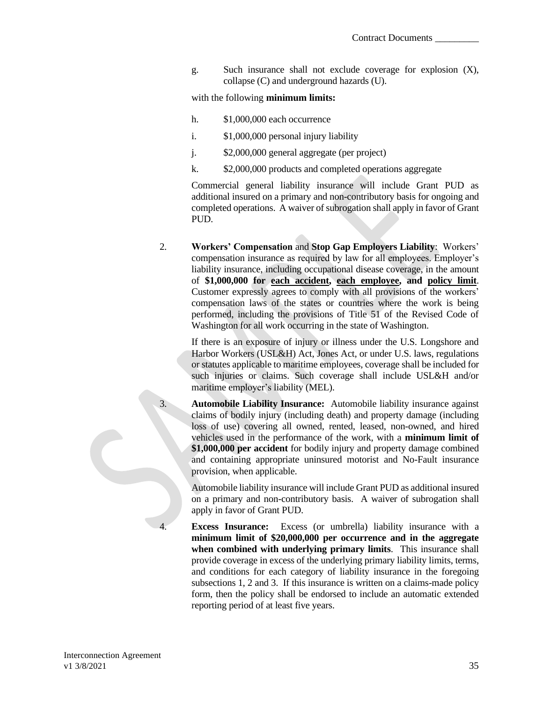g. Such insurance shall not exclude coverage for explosion (X), collapse (C) and underground hazards (U).

with the following **minimum limits:**

- h. \$1,000,000 each occurrence
- i. \$1,000,000 personal injury liability
- j. \$2,000,000 general aggregate (per project)
- k. \$2,000,000 products and completed operations aggregate

Commercial general liability insurance will include Grant PUD as additional insured on a primary and non-contributory basis for ongoing and completed operations. A waiver of subrogation shall apply in favor of Grant PUD.

2. **Workers' Compensation** and **Stop Gap Employers Liability**:Workers' compensation insurance as required by law for all employees. Employer's liability insurance, including occupational disease coverage, in the amount of **\$1,000,000 for each accident, each employee, and policy limit**. Customer expressly agrees to comply with all provisions of the workers' compensation laws of the states or countries where the work is being performed, including the provisions of Title 51 of the Revised Code of Washington for all work occurring in the state of Washington.

If there is an exposure of injury or illness under the U.S. Longshore and Harbor Workers (USL&H) Act, Jones Act, or under U.S. laws, regulations or statutes applicable to maritime employees, coverage shall be included for such injuries or claims. Such coverage shall include USL&H and/or maritime employer's liability (MEL).

3. **Automobile Liability Insurance:** Automobile liability insurance against claims of bodily injury (including death) and property damage (including loss of use) covering all owned, rented, leased, non-owned, and hired vehicles used in the performance of the work, with a **minimum limit of \$1,000,000 per accident** for bodily injury and property damage combined and containing appropriate uninsured motorist and No-Fault insurance provision, when applicable.

Automobile liability insurance will include Grant PUD as additional insured on a primary and non-contributory basis. A waiver of subrogation shall apply in favor of Grant PUD.

4. **Excess Insurance:** Excess (or umbrella) liability insurance with a **minimum limit of \$20,000,000 per occurrence and in the aggregate when combined with underlying primary limits**. This insurance shall provide coverage in excess of the underlying primary liability limits, terms, and conditions for each category of liability insurance in the foregoing subsections 1, 2 and 3. If this insurance is written on a claims-made policy form, then the policy shall be endorsed to include an automatic extended reporting period of at least five years.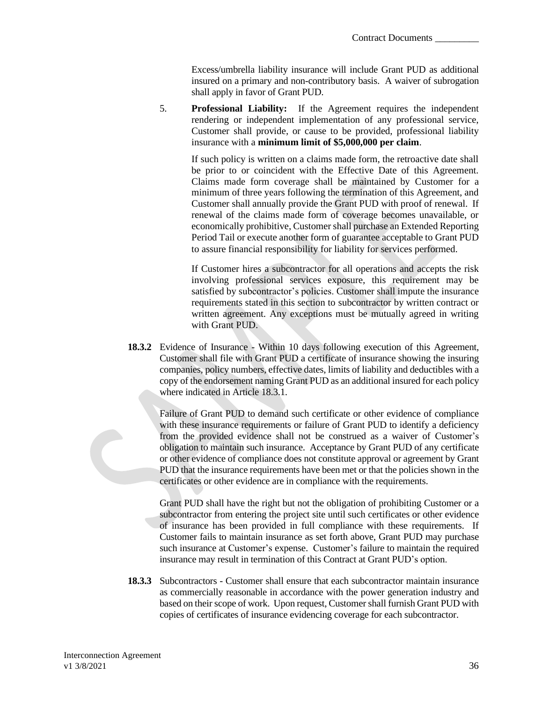Excess/umbrella liability insurance will include Grant PUD as additional insured on a primary and non-contributory basis. A waiver of subrogation shall apply in favor of Grant PUD.

5. **Professional Liability:** If the Agreement requires the independent rendering or independent implementation of any professional service, Customer shall provide, or cause to be provided, professional liability insurance with a **minimum limit of \$5,000,000 per claim**.

If such policy is written on a claims made form, the retroactive date shall be prior to or coincident with the Effective Date of this Agreement. Claims made form coverage shall be maintained by Customer for a minimum of three years following the termination of this Agreement, and Customer shall annually provide the Grant PUD with proof of renewal. If renewal of the claims made form of coverage becomes unavailable, or economically prohibitive, Customer shall purchase an Extended Reporting Period Tail or execute another form of guarantee acceptable to Grant PUD to assure financial responsibility for liability for services performed.

If Customer hires a subcontractor for all operations and accepts the risk involving professional services exposure, this requirement may be satisfied by subcontractor's policies. Customer shall impute the insurance requirements stated in this section to subcontractor by written contract or written agreement. Any exceptions must be mutually agreed in writing with Grant PUD.

**18.3.2** Evidence of Insurance - Within 10 days following execution of this Agreement, Customer shall file with Grant PUD a certificate of insurance showing the insuring companies, policy numbers, effective dates, limits of liability and deductibles with a copy of the endorsement naming Grant PUD as an additional insured for each policy where indicated in Article 18.3.1.

Failure of Grant PUD to demand such certificate or other evidence of compliance with these insurance requirements or failure of Grant PUD to identify a deficiency from the provided evidence shall not be construed as a waiver of Customer's obligation to maintain such insurance. Acceptance by Grant PUD of any certificate or other evidence of compliance does not constitute approval or agreement by Grant PUD that the insurance requirements have been met or that the policies shown in the certificates or other evidence are in compliance with the requirements.

Grant PUD shall have the right but not the obligation of prohibiting Customer or a subcontractor from entering the project site until such certificates or other evidence of insurance has been provided in full compliance with these requirements. If Customer fails to maintain insurance as set forth above, Grant PUD may purchase such insurance at Customer's expense. Customer's failure to maintain the required insurance may result in termination of this Contract at Grant PUD's option.

**18.3.3** Subcontractors - Customer shall ensure that each subcontractor maintain insurance as commercially reasonable in accordance with the power generation industry and based on their scope of work. Upon request, Customer shall furnish Grant PUD with copies of certificates of insurance evidencing coverage for each subcontractor.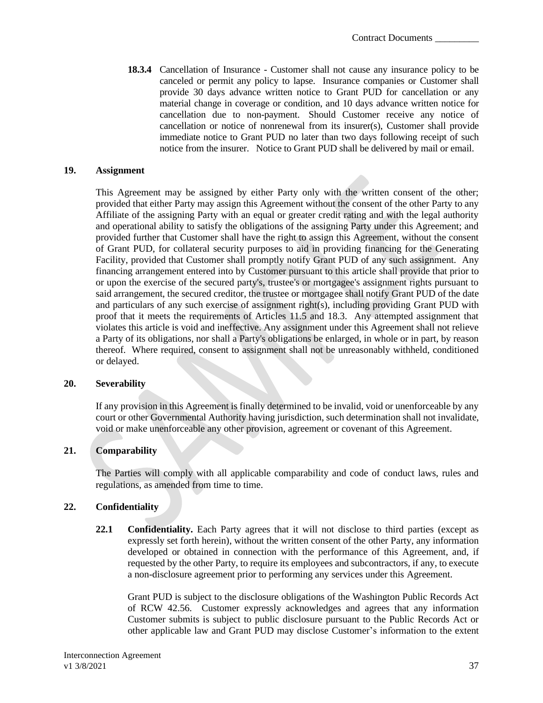**18.3.4** Cancellation of Insurance - Customer shall not cause any insurance policy to be canceled or permit any policy to lapse. Insurance companies or Customer shall provide 30 days advance written notice to Grant PUD for cancellation or any material change in coverage or condition, and 10 days advance written notice for cancellation due to non-payment. Should Customer receive any notice of cancellation or notice of nonrenewal from its insurer(s), Customer shall provide immediate notice to Grant PUD no later than two days following receipt of such notice from the insurer. Notice to Grant PUD shall be delivered by mail or email.

#### <span id="page-39-0"></span>**19. Assignment**

This Agreement may be assigned by either Party only with the written consent of the other; provided that either Party may assign this Agreement without the consent of the other Party to any Affiliate of the assigning Party with an equal or greater credit rating and with the legal authority and operational ability to satisfy the obligations of the assigning Party under this Agreement; and provided further that Customer shall have the right to assign this Agreement, without the consent of Grant PUD, for collateral security purposes to aid in providing financing for the Generating Facility, provided that Customer shall promptly notify Grant PUD of any such assignment. Any financing arrangement entered into by Customer pursuant to this article shall provide that prior to or upon the exercise of the secured party's, trustee's or mortgagee's assignment rights pursuant to said arrangement, the secured creditor, the trustee or mortgagee shall notify Grant PUD of the date and particulars of any such exercise of assignment right(s), including providing Grant PUD with proof that it meets the requirements of Articles 11.5 and 18.3. Any attempted assignment that violates this article is void and ineffective. Any assignment under this Agreement shall not relieve a Party of its obligations, nor shall a Party's obligations be enlarged, in whole or in part, by reason thereof. Where required, consent to assignment shall not be unreasonably withheld, conditioned or delayed.

#### <span id="page-39-1"></span>**20. Severability**

If any provision in this Agreement is finally determined to be invalid, void or unenforceable by any court or other Governmental Authority having jurisdiction, such determination shall not invalidate, void or make unenforceable any other provision, agreement or covenant of this Agreement.

### <span id="page-39-2"></span>**21. Comparability**

The Parties will comply with all applicable comparability and code of conduct laws, rules and regulations, as amended from time to time.

#### <span id="page-39-3"></span>**22. Confidentiality**

**22.1 Confidentiality.** Each Party agrees that it will not disclose to third parties (except as expressly set forth herein), without the written consent of the other Party, any information developed or obtained in connection with the performance of this Agreement, and, if requested by the other Party, to require its employees and subcontractors, if any, to execute a non-disclosure agreement prior to performing any services under this Agreement.

Grant PUD is subject to the disclosure obligations of the Washington Public Records Act of RCW 42.56. Customer expressly acknowledges and agrees that any information Customer submits is subject to public disclosure pursuant to the Public Records Act or other applicable law and Grant PUD may disclose Customer's information to the extent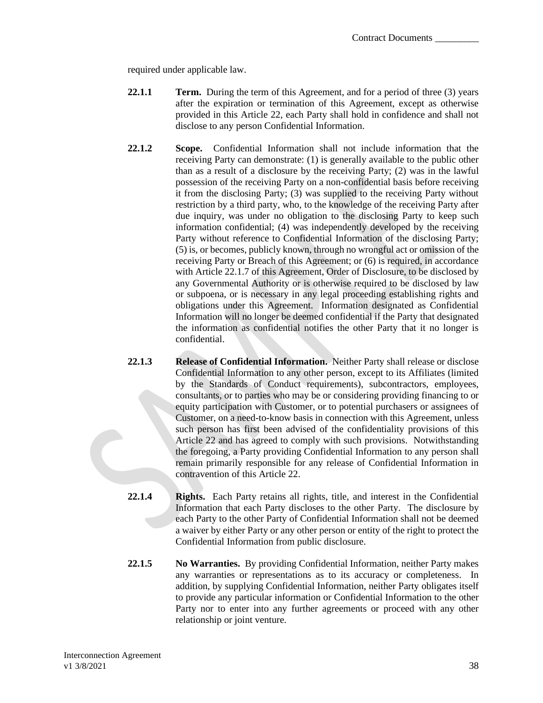required under applicable law.

- **22.1.1 Term.** During the term of this Agreement, and for a period of three (3) years after the expiration or termination of this Agreement, except as otherwise provided in this Article 22, each Party shall hold in confidence and shall not disclose to any person Confidential Information.
- **22.1.2 Scope.** Confidential Information shall not include information that the receiving Party can demonstrate: (1) is generally available to the public other than as a result of a disclosure by the receiving Party; (2) was in the lawful possession of the receiving Party on a non-confidential basis before receiving it from the disclosing Party; (3) was supplied to the receiving Party without restriction by a third party, who, to the knowledge of the receiving Party after due inquiry, was under no obligation to the disclosing Party to keep such information confidential; (4) was independently developed by the receiving Party without reference to Confidential Information of the disclosing Party; (5) is, or becomes, publicly known, through no wrongful act or omission of the receiving Party or Breach of this Agreement; or (6) is required, in accordance with Article 22.1.7 of this Agreement, Order of Disclosure, to be disclosed by any Governmental Authority or is otherwise required to be disclosed by law or subpoena, or is necessary in any legal proceeding establishing rights and obligations under this Agreement. Information designated as Confidential Information will no longer be deemed confidential if the Party that designated the information as confidential notifies the other Party that it no longer is confidential.
- **22.1.3 Release of Confidential Information.** Neither Party shall release or disclose Confidential Information to any other person, except to its Affiliates (limited by the Standards of Conduct requirements), subcontractors, employees, consultants, or to parties who may be or considering providing financing to or equity participation with Customer, or to potential purchasers or assignees of Customer, on a need-to-know basis in connection with this Agreement, unless such person has first been advised of the confidentiality provisions of this Article 22 and has agreed to comply with such provisions. Notwithstanding the foregoing, a Party providing Confidential Information to any person shall remain primarily responsible for any release of Confidential Information in contravention of this Article 22.
- **22.1.4 Rights.** Each Party retains all rights, title, and interest in the Confidential Information that each Party discloses to the other Party. The disclosure by each Party to the other Party of Confidential Information shall not be deemed a waiver by either Party or any other person or entity of the right to protect the Confidential Information from public disclosure.
- **22.1.5 No Warranties.** By providing Confidential Information, neither Party makes any warranties or representations as to its accuracy or completeness. In addition, by supplying Confidential Information, neither Party obligates itself to provide any particular information or Confidential Information to the other Party nor to enter into any further agreements or proceed with any other relationship or joint venture.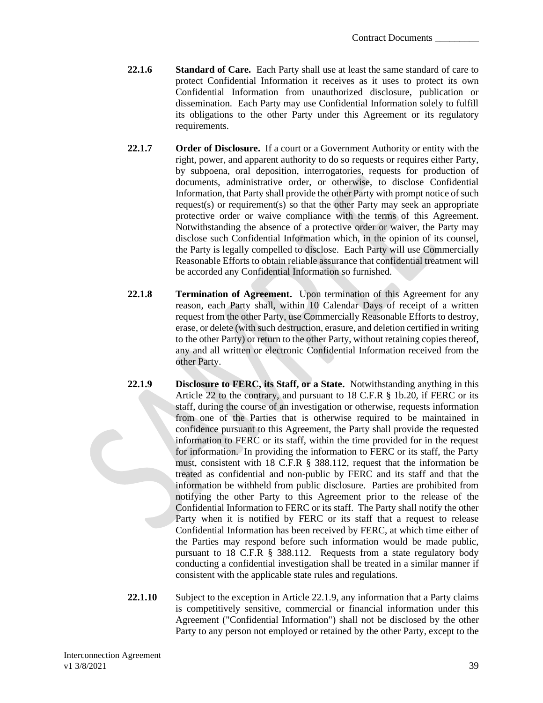- **22.1.6 Standard of Care.** Each Party shall use at least the same standard of care to protect Confidential Information it receives as it uses to protect its own Confidential Information from unauthorized disclosure, publication or dissemination. Each Party may use Confidential Information solely to fulfill its obligations to the other Party under this Agreement or its regulatory requirements.
- **22.1.7 Order of Disclosure.** If a court or a Government Authority or entity with the right, power, and apparent authority to do so requests or requires either Party, by subpoena, oral deposition, interrogatories, requests for production of documents, administrative order, or otherwise, to disclose Confidential Information, that Party shall provide the other Party with prompt notice of such request(s) or requirement(s) so that the other Party may seek an appropriate protective order or waive compliance with the terms of this Agreement. Notwithstanding the absence of a protective order or waiver, the Party may disclose such Confidential Information which, in the opinion of its counsel, the Party is legally compelled to disclose. Each Party will use Commercially Reasonable Efforts to obtain reliable assurance that confidential treatment will be accorded any Confidential Information so furnished.
- **22.1.8 Termination of Agreement.** Upon termination of this Agreement for any reason, each Party shall, within 10 Calendar Days of receipt of a written request from the other Party, use Commercially Reasonable Efforts to destroy, erase, or delete (with such destruction, erasure, and deletion certified in writing to the other Party) or return to the other Party, without retaining copies thereof, any and all written or electronic Confidential Information received from the other Party.
- **22.1.9 Disclosure to FERC, its Staff, or a State.** Notwithstanding anything in this Article 22 to the contrary, and pursuant to 18 C.F.R § 1b.20, if FERC or its staff, during the course of an investigation or otherwise, requests information from one of the Parties that is otherwise required to be maintained in confidence pursuant to this Agreement, the Party shall provide the requested information to FERC or its staff, within the time provided for in the request for information. In providing the information to FERC or its staff, the Party must, consistent with 18 C.F.R § 388.112, request that the information be treated as confidential and non-public by FERC and its staff and that the information be withheld from public disclosure. Parties are prohibited from notifying the other Party to this Agreement prior to the release of the Confidential Information to FERC or its staff. The Party shall notify the other Party when it is notified by FERC or its staff that a request to release Confidential Information has been received by FERC, at which time either of the Parties may respond before such information would be made public, pursuant to 18 C.F.R § 388.112. Requests from a state regulatory body conducting a confidential investigation shall be treated in a similar manner if consistent with the applicable state rules and regulations.
- **22.1.10** Subject to the exception in Article 22.1.9, any information that a Party claims is competitively sensitive, commercial or financial information under this Agreement ("Confidential Information") shall not be disclosed by the other Party to any person not employed or retained by the other Party, except to the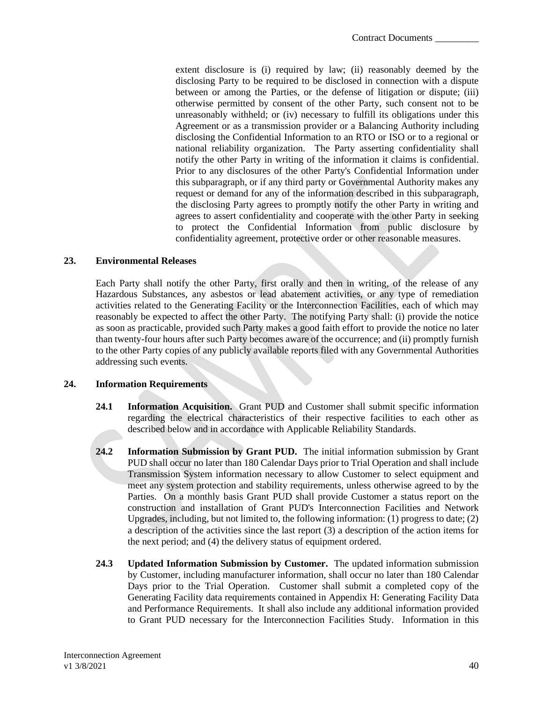extent disclosure is (i) required by law; (ii) reasonably deemed by the disclosing Party to be required to be disclosed in connection with a dispute between or among the Parties, or the defense of litigation or dispute; (iii) otherwise permitted by consent of the other Party, such consent not to be unreasonably withheld; or (iv) necessary to fulfill its obligations under this Agreement or as a transmission provider or a Balancing Authority including disclosing the Confidential Information to an RTO or ISO or to a regional or national reliability organization. The Party asserting confidentiality shall notify the other Party in writing of the information it claims is confidential. Prior to any disclosures of the other Party's Confidential Information under this subparagraph, or if any third party or Governmental Authority makes any request or demand for any of the information described in this subparagraph, the disclosing Party agrees to promptly notify the other Party in writing and agrees to assert confidentiality and cooperate with the other Party in seeking to protect the Confidential Information from public disclosure by confidentiality agreement, protective order or other reasonable measures.

#### <span id="page-42-0"></span>**23. Environmental Releases**

Each Party shall notify the other Party, first orally and then in writing, of the release of any Hazardous Substances, any asbestos or lead abatement activities, or any type of remediation activities related to the Generating Facility or the Interconnection Facilities, each of which may reasonably be expected to affect the other Party. The notifying Party shall: (i) provide the notice as soon as practicable, provided such Party makes a good faith effort to provide the notice no later than twenty-four hours after such Party becomes aware of the occurrence; and (ii) promptly furnish to the other Party copies of any publicly available reports filed with any Governmental Authorities addressing such events.

#### <span id="page-42-1"></span>**24. Information Requirements**

- **24.1 Information Acquisition.** Grant PUD and Customer shall submit specific information regarding the electrical characteristics of their respective facilities to each other as described below and in accordance with Applicable Reliability Standards.
- **24.2 Information Submission by Grant PUD.** The initial information submission by Grant PUD shall occur no later than 180 Calendar Days prior to Trial Operation and shall include Transmission System information necessary to allow Customer to select equipment and meet any system protection and stability requirements, unless otherwise agreed to by the Parties. On a monthly basis Grant PUD shall provide Customer a status report on the construction and installation of Grant PUD's Interconnection Facilities and Network Upgrades, including, but not limited to, the following information: (1) progress to date; (2) a description of the activities since the last report (3) a description of the action items for the next period; and (4) the delivery status of equipment ordered.
- **24.3 Updated Information Submission by Customer.** The updated information submission by Customer, including manufacturer information, shall occur no later than 180 Calendar Days prior to the Trial Operation. Customer shall submit a completed copy of the Generating Facility data requirements contained in Appendix H: Generating Facility Data and Performance Requirements. It shall also include any additional information provided to Grant PUD necessary for the Interconnection Facilities Study. Information in this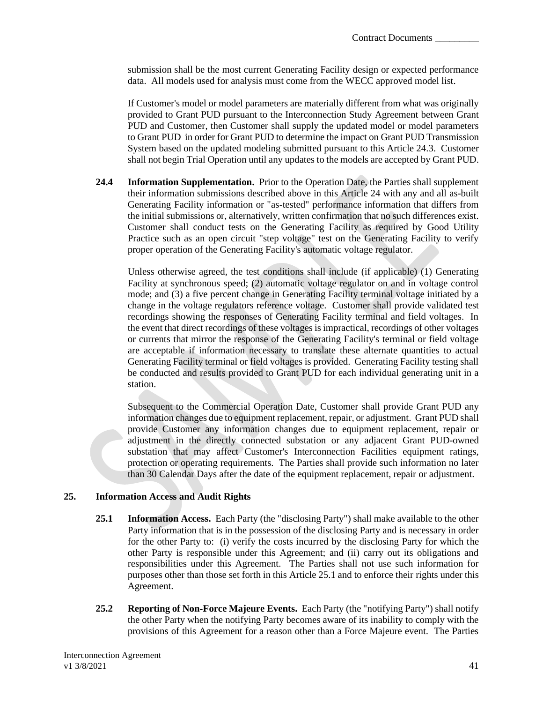submission shall be the most current Generating Facility design or expected performance data. All models used for analysis must come from the WECC approved model list.

If Customer's model or model parameters are materially different from what was originally provided to Grant PUD pursuant to the Interconnection Study Agreement between Grant PUD and Customer, then Customer shall supply the updated model or model parameters to Grant PUD in order for Grant PUD to determine the impact on Grant PUD Transmission System based on the updated modeling submitted pursuant to this Article 24.3. Customer shall not begin Trial Operation until any updates to the models are accepted by Grant PUD.

**24.4 Information Supplementation.** Prior to the Operation Date, the Parties shall supplement their information submissions described above in this Article 24 with any and all as-built Generating Facility information or "as-tested" performance information that differs from the initial submissions or, alternatively, written confirmation that no such differences exist. Customer shall conduct tests on the Generating Facility as required by Good Utility Practice such as an open circuit "step voltage" test on the Generating Facility to verify proper operation of the Generating Facility's automatic voltage regulator.

Unless otherwise agreed, the test conditions shall include (if applicable) (1) Generating Facility at synchronous speed; (2) automatic voltage regulator on and in voltage control mode; and (3) a five percent change in Generating Facility terminal voltage initiated by a change in the voltage regulators reference voltage. Customer shall provide validated test recordings showing the responses of Generating Facility terminal and field voltages. In the event that direct recordings of these voltages is impractical, recordings of other voltages or currents that mirror the response of the Generating Facility's terminal or field voltage are acceptable if information necessary to translate these alternate quantities to actual Generating Facility terminal or field voltages is provided. Generating Facility testing shall be conducted and results provided to Grant PUD for each individual generating unit in a station.

Subsequent to the Commercial Operation Date, Customer shall provide Grant PUD any information changes due to equipment replacement, repair, or adjustment. Grant PUD shall provide Customer any information changes due to equipment replacement, repair or adjustment in the directly connected substation or any adjacent Grant PUD-owned substation that may affect Customer's Interconnection Facilities equipment ratings, protection or operating requirements. The Parties shall provide such information no later than 30 Calendar Days after the date of the equipment replacement, repair or adjustment.

### <span id="page-43-0"></span>**25. Information Access and Audit Rights**

- **25.1 Information Access.** Each Party (the "disclosing Party") shall make available to the other Party information that is in the possession of the disclosing Party and is necessary in order for the other Party to: (i) verify the costs incurred by the disclosing Party for which the other Party is responsible under this Agreement; and (ii) carry out its obligations and responsibilities under this Agreement. The Parties shall not use such information for purposes other than those set forth in this Article 25.1 and to enforce their rights under this Agreement.
- **25.2 Reporting of Non-Force Majeure Events.** Each Party (the "notifying Party") shall notify the other Party when the notifying Party becomes aware of its inability to comply with the provisions of this Agreement for a reason other than a Force Majeure event. The Parties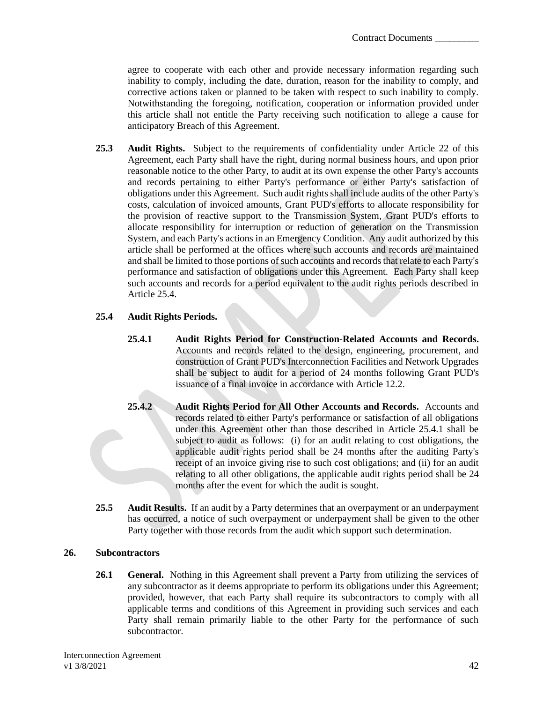agree to cooperate with each other and provide necessary information regarding such inability to comply, including the date, duration, reason for the inability to comply, and corrective actions taken or planned to be taken with respect to such inability to comply. Notwithstanding the foregoing, notification, cooperation or information provided under this article shall not entitle the Party receiving such notification to allege a cause for anticipatory Breach of this Agreement.

**25.3 Audit Rights.** Subject to the requirements of confidentiality under Article 22 of this Agreement, each Party shall have the right, during normal business hours, and upon prior reasonable notice to the other Party, to audit at its own expense the other Party's accounts and records pertaining to either Party's performance or either Party's satisfaction of obligations under this Agreement. Such audit rights shall include audits of the other Party's costs, calculation of invoiced amounts, Grant PUD's efforts to allocate responsibility for the provision of reactive support to the Transmission System, Grant PUD's efforts to allocate responsibility for interruption or reduction of generation on the Transmission System, and each Party's actions in an Emergency Condition. Any audit authorized by this article shall be performed at the offices where such accounts and records are maintained and shall be limited to those portions of such accounts and records that relate to each Party's performance and satisfaction of obligations under this Agreement. Each Party shall keep such accounts and records for a period equivalent to the audit rights periods described in Article 25.4.

## **25.4 Audit Rights Periods.**

- **25.4.1 Audit Rights Period for Construction-Related Accounts and Records.** Accounts and records related to the design, engineering, procurement, and construction of Grant PUD's Interconnection Facilities and Network Upgrades shall be subject to audit for a period of 24 months following Grant PUD's issuance of a final invoice in accordance with Article 12.2.
- **25.4.2 Audit Rights Period for All Other Accounts and Records.** Accounts and records related to either Party's performance or satisfaction of all obligations under this Agreement other than those described in Article 25.4.1 shall be subject to audit as follows: (i) for an audit relating to cost obligations, the applicable audit rights period shall be 24 months after the auditing Party's receipt of an invoice giving rise to such cost obligations; and (ii) for an audit relating to all other obligations, the applicable audit rights period shall be 24 months after the event for which the audit is sought.
- **25.5 Audit Results.** If an audit by a Party determines that an overpayment or an underpayment has occurred, a notice of such overpayment or underpayment shall be given to the other Party together with those records from the audit which support such determination.

### <span id="page-44-0"></span>**26. Subcontractors**

**26.1 General.** Nothing in this Agreement shall prevent a Party from utilizing the services of any subcontractor as it deems appropriate to perform its obligations under this Agreement; provided, however, that each Party shall require its subcontractors to comply with all applicable terms and conditions of this Agreement in providing such services and each Party shall remain primarily liable to the other Party for the performance of such subcontractor.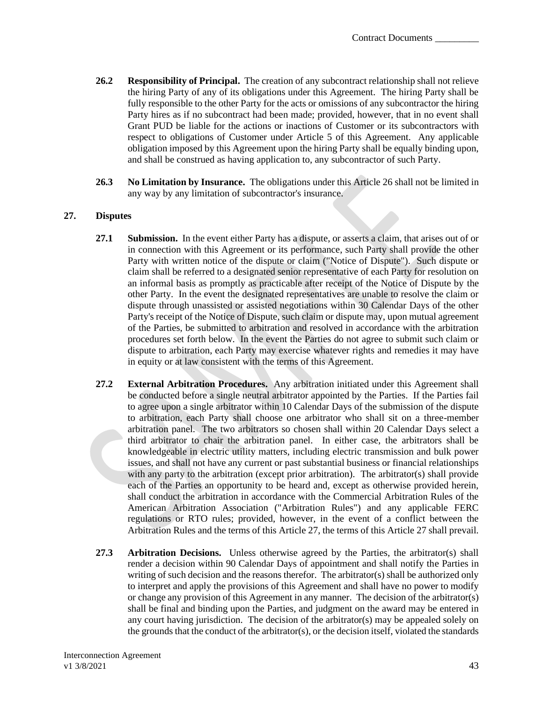- **26.2 Responsibility of Principal.** The creation of any subcontract relationship shall not relieve the hiring Party of any of its obligations under this Agreement. The hiring Party shall be fully responsible to the other Party for the acts or omissions of any subcontractor the hiring Party hires as if no subcontract had been made; provided, however, that in no event shall Grant PUD be liable for the actions or inactions of Customer or its subcontractors with respect to obligations of Customer under Article 5 of this Agreement. Any applicable obligation imposed by this Agreement upon the hiring Party shall be equally binding upon, and shall be construed as having application to, any subcontractor of such Party.
- **26.3 No Limitation by Insurance.** The obligations under this Article 26 shall not be limited in any way by any limitation of subcontractor's insurance.

### <span id="page-45-0"></span>**27. Disputes**

- **27.1 Submission.** In the event either Party has a dispute, or asserts a claim, that arises out of or in connection with this Agreement or its performance, such Party shall provide the other Party with written notice of the dispute or claim ("Notice of Dispute"). Such dispute or claim shall be referred to a designated senior representative of each Party for resolution on an informal basis as promptly as practicable after receipt of the Notice of Dispute by the other Party. In the event the designated representatives are unable to resolve the claim or dispute through unassisted or assisted negotiations within 30 Calendar Days of the other Party's receipt of the Notice of Dispute, such claim or dispute may, upon mutual agreement of the Parties, be submitted to arbitration and resolved in accordance with the arbitration procedures set forth below. In the event the Parties do not agree to submit such claim or dispute to arbitration, each Party may exercise whatever rights and remedies it may have in equity or at law consistent with the terms of this Agreement.
- **27.2 External Arbitration Procedures.** Any arbitration initiated under this Agreement shall be conducted before a single neutral arbitrator appointed by the Parties. If the Parties fail to agree upon a single arbitrator within 10 Calendar Days of the submission of the dispute to arbitration, each Party shall choose one arbitrator who shall sit on a three-member arbitration panel. The two arbitrators so chosen shall within 20 Calendar Days select a third arbitrator to chair the arbitration panel. In either case, the arbitrators shall be knowledgeable in electric utility matters, including electric transmission and bulk power issues, and shall not have any current or past substantial business or financial relationships with any party to the arbitration (except prior arbitration). The arbitrator(s) shall provide each of the Parties an opportunity to be heard and, except as otherwise provided herein, shall conduct the arbitration in accordance with the Commercial Arbitration Rules of the American Arbitration Association ("Arbitration Rules") and any applicable FERC regulations or RTO rules; provided, however, in the event of a conflict between the Arbitration Rules and the terms of this Article 27, the terms of this Article 27 shall prevail.
- **27.3 Arbitration Decisions.** Unless otherwise agreed by the Parties, the arbitrator(s) shall render a decision within 90 Calendar Days of appointment and shall notify the Parties in writing of such decision and the reasons therefor. The arbitrator $(s)$  shall be authorized only to interpret and apply the provisions of this Agreement and shall have no power to modify or change any provision of this Agreement in any manner. The decision of the arbitrator(s) shall be final and binding upon the Parties, and judgment on the award may be entered in any court having jurisdiction. The decision of the arbitrator(s) may be appealed solely on the grounds that the conduct of the arbitrator(s), or the decision itself, violated the standards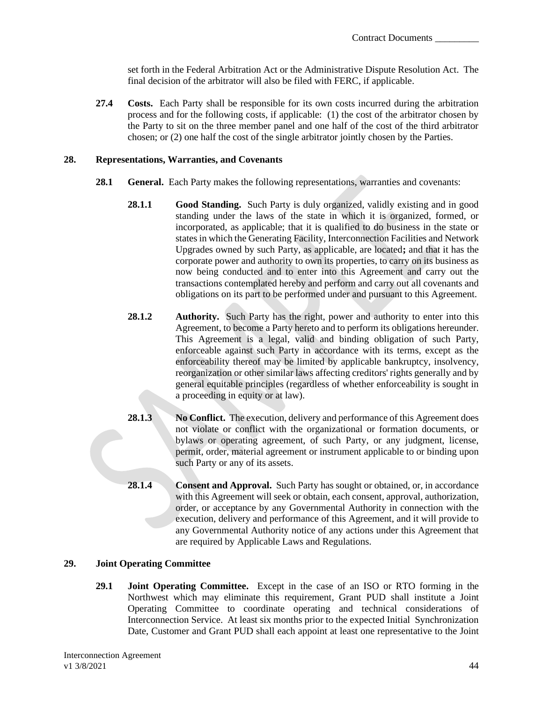set forth in the Federal Arbitration Act or the Administrative Dispute Resolution Act. The final decision of the arbitrator will also be filed with FERC, if applicable.

**27.4 Costs.** Each Party shall be responsible for its own costs incurred during the arbitration process and for the following costs, if applicable: (1) the cost of the arbitrator chosen by the Party to sit on the three member panel and one half of the cost of the third arbitrator chosen; or (2) one half the cost of the single arbitrator jointly chosen by the Parties.

### <span id="page-46-0"></span>**28. Representations, Warranties, and Covenants**

- **28.1 General.** Each Party makes the following representations, warranties and covenants:
	- **28.1.1 Good Standing.** Such Party is duly organized, validly existing and in good standing under the laws of the state in which it is organized, formed, or incorporated, as applicable; that it is qualified to do business in the state or states in which the Generating Facility, Interconnection Facilities and Network Upgrades owned by such Party, as applicable, are located**;** and that it has the corporate power and authority to own its properties, to carry on its business as now being conducted and to enter into this Agreement and carry out the transactions contemplated hereby and perform and carry out all covenants and obligations on its part to be performed under and pursuant to this Agreement.
	- **28.1.2 Authority.** Such Party has the right, power and authority to enter into this Agreement, to become a Party hereto and to perform its obligations hereunder. This Agreement is a legal, valid and binding obligation of such Party, enforceable against such Party in accordance with its terms, except as the enforceability thereof may be limited by applicable bankruptcy, insolvency, reorganization or other similar laws affecting creditors' rights generally and by general equitable principles (regardless of whether enforceability is sought in a proceeding in equity or at law).
	- **28.1.3 No Conflict.** The execution, delivery and performance of this Agreement does not violate or conflict with the organizational or formation documents, or bylaws or operating agreement, of such Party, or any judgment, license, permit, order, material agreement or instrument applicable to or binding upon such Party or any of its assets.
	- **28.1.4** Consent and Approval. Such Party has sought or obtained, or, in accordance with this Agreement will seek or obtain, each consent, approval, authorization, order, or acceptance by any Governmental Authority in connection with the execution, delivery and performance of this Agreement, and it will provide to any Governmental Authority notice of any actions under this Agreement that are required by Applicable Laws and Regulations.

## <span id="page-46-1"></span>**29. Joint Operating Committee**

**29.1 Joint Operating Committee.** Except in the case of an ISO or RTO forming in the Northwest which may eliminate this requirement, Grant PUD shall institute a Joint Operating Committee to coordinate operating and technical considerations of Interconnection Service. At least six months prior to the expected Initial Synchronization Date, Customer and Grant PUD shall each appoint at least one representative to the Joint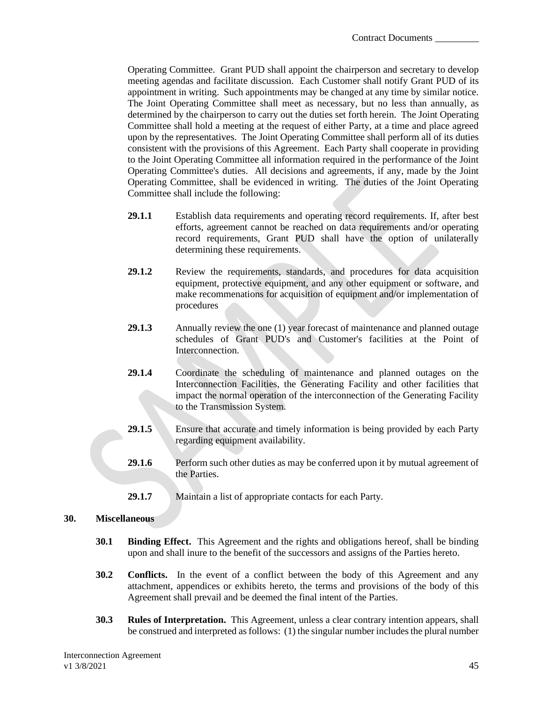Operating Committee. Grant PUD shall appoint the chairperson and secretary to develop meeting agendas and facilitate discussion. Each Customer shall notify Grant PUD of its appointment in writing. Such appointments may be changed at any time by similar notice. The Joint Operating Committee shall meet as necessary, but no less than annually, as determined by the chairperson to carry out the duties set forth herein. The Joint Operating Committee shall hold a meeting at the request of either Party, at a time and place agreed upon by the representatives. The Joint Operating Committee shall perform all of its duties consistent with the provisions of this Agreement. Each Party shall cooperate in providing to the Joint Operating Committee all information required in the performance of the Joint Operating Committee's duties. All decisions and agreements, if any, made by the Joint Operating Committee, shall be evidenced in writing. The duties of the Joint Operating Committee shall include the following:

- **29.1.1** Establish data requirements and operating record requirements. If, after best efforts, agreement cannot be reached on data requirements and/or operating record requirements, Grant PUD shall have the option of unilaterally determining these requirements.
- **29.1.2** Review the requirements, standards, and procedures for data acquisition equipment, protective equipment, and any other equipment or software, and make recommenations for acquisition of equipment and/or implementation of procedures
- **29.1.3** Annually review the one (1) year forecast of maintenance and planned outage schedules of Grant PUD's and Customer's facilities at the Point of Interconnection.
- **29.1.4** Coordinate the scheduling of maintenance and planned outages on the Interconnection Facilities, the Generating Facility and other facilities that impact the normal operation of the interconnection of the Generating Facility to the Transmission System.
- **29.1.5** Ensure that accurate and timely information is being provided by each Party regarding equipment availability.
- **29.1.6** Perform such other duties as may be conferred upon it by mutual agreement of the Parties.
- **29.1.7** Maintain a list of appropriate contacts for each Party.

### <span id="page-47-0"></span>**30. Miscellaneous**

- **30.1 Binding Effect.** This Agreement and the rights and obligations hereof, shall be binding upon and shall inure to the benefit of the successors and assigns of the Parties hereto.
- **30.2 Conflicts.** In the event of a conflict between the body of this Agreement and any attachment, appendices or exhibits hereto, the terms and provisions of the body of this Agreement shall prevail and be deemed the final intent of the Parties.
- **30.3 Rules of Interpretation.** This Agreement, unless a clear contrary intention appears, shall be construed and interpreted as follows: (1) the singular number includes the plural number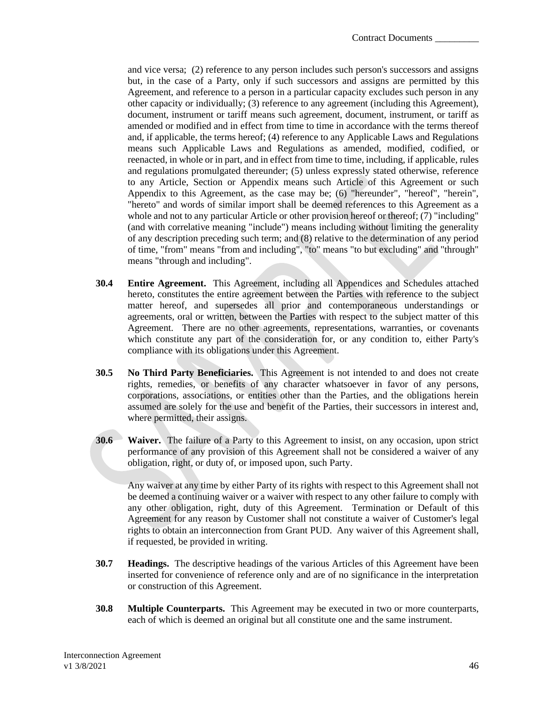and vice versa; (2) reference to any person includes such person's successors and assigns but, in the case of a Party, only if such successors and assigns are permitted by this Agreement, and reference to a person in a particular capacity excludes such person in any other capacity or individually; (3) reference to any agreement (including this Agreement), document, instrument or tariff means such agreement, document, instrument, or tariff as amended or modified and in effect from time to time in accordance with the terms thereof and, if applicable, the terms hereof; (4) reference to any Applicable Laws and Regulations means such Applicable Laws and Regulations as amended, modified, codified, or reenacted, in whole or in part, and in effect from time to time, including, if applicable, rules and regulations promulgated thereunder; (5) unless expressly stated otherwise, reference to any Article, Section or Appendix means such Article of this Agreement or such Appendix to this Agreement, as the case may be; (6) "hereunder", "hereof", "herein", "hereto" and words of similar import shall be deemed references to this Agreement as a whole and not to any particular Article or other provision hereof or thereof; (7) "including" (and with correlative meaning "include") means including without limiting the generality of any description preceding such term; and (8) relative to the determination of any period of time, "from" means "from and including", "to" means "to but excluding" and "through" means "through and including".

- **30.4 Entire Agreement.** This Agreement, including all Appendices and Schedules attached hereto, constitutes the entire agreement between the Parties with reference to the subject matter hereof, and supersedes all prior and contemporaneous understandings or agreements, oral or written, between the Parties with respect to the subject matter of this Agreement. There are no other agreements, representations, warranties, or covenants which constitute any part of the consideration for, or any condition to, either Party's compliance with its obligations under this Agreement.
- **30.5 No Third Party Beneficiaries.** This Agreement is not intended to and does not create rights, remedies, or benefits of any character whatsoever in favor of any persons, corporations, associations, or entities other than the Parties, and the obligations herein assumed are solely for the use and benefit of the Parties, their successors in interest and, where permitted, their assigns.
- **30.6 Waiver.** The failure of a Party to this Agreement to insist, on any occasion, upon strict performance of any provision of this Agreement shall not be considered a waiver of any obligation, right, or duty of, or imposed upon, such Party.

Any waiver at any time by either Party of its rights with respect to this Agreement shall not be deemed a continuing waiver or a waiver with respect to any other failure to comply with any other obligation, right, duty of this Agreement. Termination or Default of this Agreement for any reason by Customer shall not constitute a waiver of Customer's legal rights to obtain an interconnection from Grant PUD. Any waiver of this Agreement shall, if requested, be provided in writing.

- **30.7 Headings.** The descriptive headings of the various Articles of this Agreement have been inserted for convenience of reference only and are of no significance in the interpretation or construction of this Agreement.
- **30.8 Multiple Counterparts.** This Agreement may be executed in two or more counterparts, each of which is deemed an original but all constitute one and the same instrument.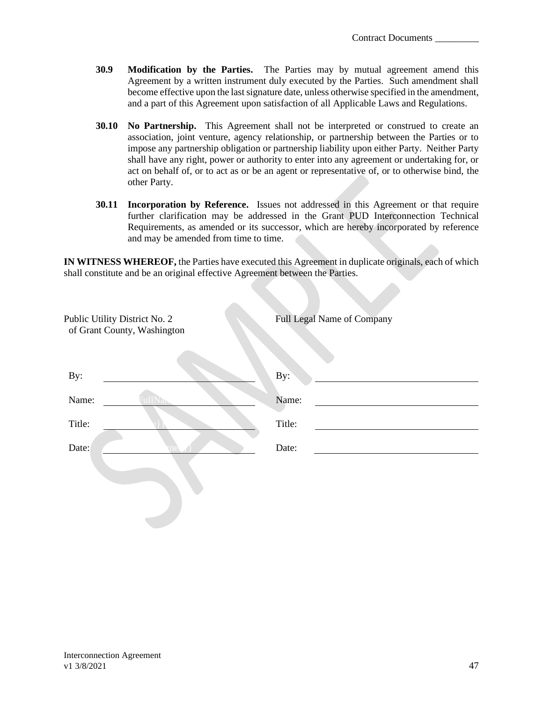- **30.9 Modification by the Parties.** The Parties may by mutual agreement amend this Agreement by a written instrument duly executed by the Parties. Such amendment shall become effective upon the last signature date, unless otherwise specified in the amendment, and a part of this Agreement upon satisfaction of all Applicable Laws and Regulations.
- **30.10 No Partnership.** This Agreement shall not be interpreted or construed to create an association, joint venture, agency relationship, or partnership between the Parties or to impose any partnership obligation or partnership liability upon either Party. Neither Party shall have any right, power or authority to enter into any agreement or undertaking for, or act on behalf of, or to act as or be an agent or representative of, or to otherwise bind, the other Party.
- **30.11 Incorporation by Reference.** Issues not addressed in this Agreement or that require further clarification may be addressed in the Grant PUD Interconnection Technical Requirements, as amended or its successor, which are hereby incorporated by reference and may be amended from time to time.

**IN WITNESS WHEREOF,** the Parties have executed this Agreement in duplicate originals, each of which shall constitute and be an original effective Agreement between the Parties.

| Public Utility District No. 2<br>of Grant County, Washington | <b>Full Legal Name of Company</b> |
|--------------------------------------------------------------|-----------------------------------|
|                                                              |                                   |
| By:                                                          | By:                               |
| Name:                                                        | Name:                             |
| Title:                                                       | Title:                            |
| Date:                                                        | Date:                             |
|                                                              |                                   |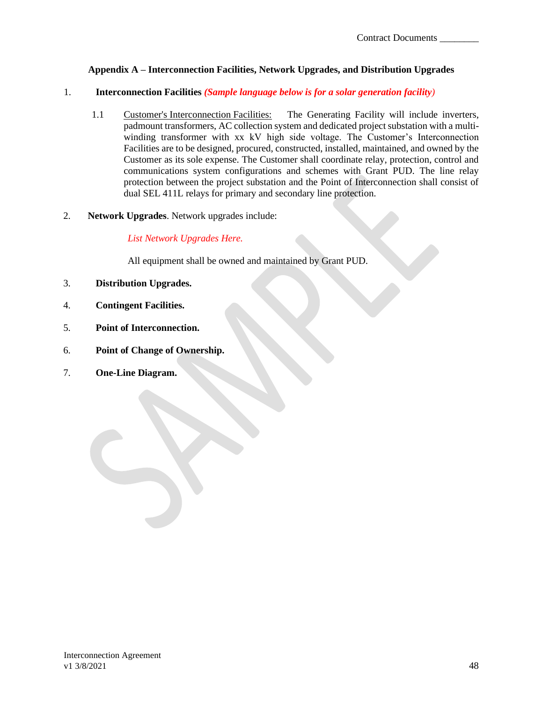## **Appendix A – Interconnection Facilities, Network Upgrades, and Distribution Upgrades**

### <span id="page-50-0"></span>1. **Interconnection Facilities** *(Sample language below is for a solar generation facility)*

- 1.1 Customer's Interconnection Facilities: The Generating Facility will include inverters, padmount transformers, AC collection system and dedicated project substation with a multiwinding transformer with xx kV high side voltage. The Customer's Interconnection Facilities are to be designed, procured, constructed, installed, maintained, and owned by the Customer as its sole expense. The Customer shall coordinate relay, protection, control and communications system configurations and schemes with Grant PUD. The line relay protection between the project substation and the Point of Interconnection shall consist of dual SEL 411L relays for primary and secondary line protection.
- 2. **Network Upgrades**. Network upgrades include:

*List Network Upgrades Here.*

All equipment shall be owned and maintained by Grant PUD.

- 3. **Distribution Upgrades.**
- 4. **Contingent Facilities.**
- 5. **Point of Interconnection.**
- 6. **Point of Change of Ownership.**
- 7. **One-Line Diagram.**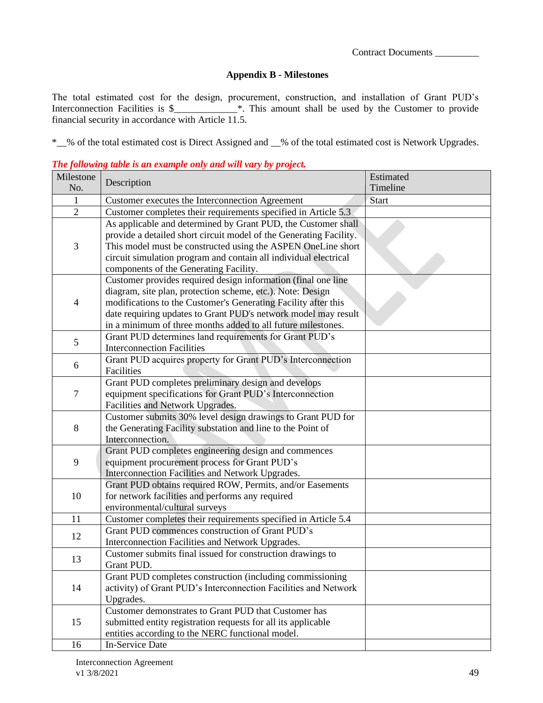### **Appendix B - Milestones**

<span id="page-51-0"></span>The total estimated cost for the design, procurement, construction, and installation of Grant PUD's Interconnection Facilities is \$\_\_\_\_\_\_\_\_\_\_\_\_\_\*. This amount shall be used by the Customer to provide financial security in accordance with Article 11.5.

\*\_\_% of the total estimated cost is Direct Assigned and \_\_% of the total estimated cost is Network Upgrades.

#### *The following table is an example only and will vary by project.*

| Milestone                                                                        |                                                                                                  | Estimated    |
|----------------------------------------------------------------------------------|--------------------------------------------------------------------------------------------------|--------------|
| No.                                                                              | Description                                                                                      | Timeline     |
| $\mathbf{1}$                                                                     | Customer executes the Interconnection Agreement                                                  | <b>Start</b> |
| $\overline{2}$<br>Customer completes their requirements specified in Article 5.3 |                                                                                                  |              |
|                                                                                  | As applicable and determined by Grant PUD, the Customer shall                                    |              |
|                                                                                  | provide a detailed short circuit model of the Generating Facility.                               |              |
| 3                                                                                | This model must be constructed using the ASPEN OneLine short                                     |              |
|                                                                                  | circuit simulation program and contain all individual electrical                                 |              |
|                                                                                  | components of the Generating Facility.                                                           |              |
|                                                                                  | Customer provides required design information (final one line                                    |              |
|                                                                                  | diagram, site plan, protection scheme, etc.). Note: Design                                       |              |
| $\overline{\mathcal{A}}$                                                         | modifications to the Customer's Generating Facility after this                                   |              |
|                                                                                  | date requiring updates to Grant PUD's network model may result                                   |              |
|                                                                                  | in a minimum of three months added to all future milestones.                                     |              |
| 5                                                                                | Grant PUD determines land requirements for Grant PUD's                                           |              |
|                                                                                  | <b>Interconnection Facilities</b>                                                                |              |
| 6                                                                                | Grant PUD acquires property for Grant PUD's Interconnection                                      |              |
|                                                                                  | Facilities                                                                                       |              |
|                                                                                  | Grant PUD completes preliminary design and develops                                              |              |
| $\tau$                                                                           | equipment specifications for Grant PUD's Interconnection                                         |              |
|                                                                                  | Facilities and Network Upgrades.                                                                 |              |
|                                                                                  | Customer submits 30% level design drawings to Grant PUD for                                      |              |
| 8                                                                                | the Generating Facility substation and line to the Point of                                      |              |
|                                                                                  | Interconnection.                                                                                 |              |
|                                                                                  | Grant PUD completes engineering design and commences                                             |              |
| 9                                                                                | equipment procurement process for Grant PUD's                                                    |              |
|                                                                                  | Interconnection Facilities and Network Upgrades.                                                 |              |
|                                                                                  | Grant PUD obtains required ROW, Permits, and/or Easements                                        |              |
| 10                                                                               | for network facilities and performs any required                                                 |              |
| 11                                                                               | environmental/cultural surveys<br>Customer completes their requirements specified in Article 5.4 |              |
|                                                                                  | Grant PUD commences construction of Grant PUD's                                                  |              |
| 12                                                                               | Interconnection Facilities and Network Upgrades.                                                 |              |
|                                                                                  | Customer submits final issued for construction drawings to                                       |              |
| 13                                                                               | Grant PUD.                                                                                       |              |
|                                                                                  | Grant PUD completes construction (including commissioning                                        |              |
| 14                                                                               | activity) of Grant PUD's Interconnection Facilities and Network                                  |              |
|                                                                                  | Upgrades.                                                                                        |              |
|                                                                                  | Customer demonstrates to Grant PUD that Customer has                                             |              |
| 15                                                                               | submitted entity registration requests for all its applicable                                    |              |
|                                                                                  | entities according to the NERC functional model.                                                 |              |
| 16                                                                               | In-Service Date                                                                                  |              |

Interconnection Agreement v1 3/8/2021 49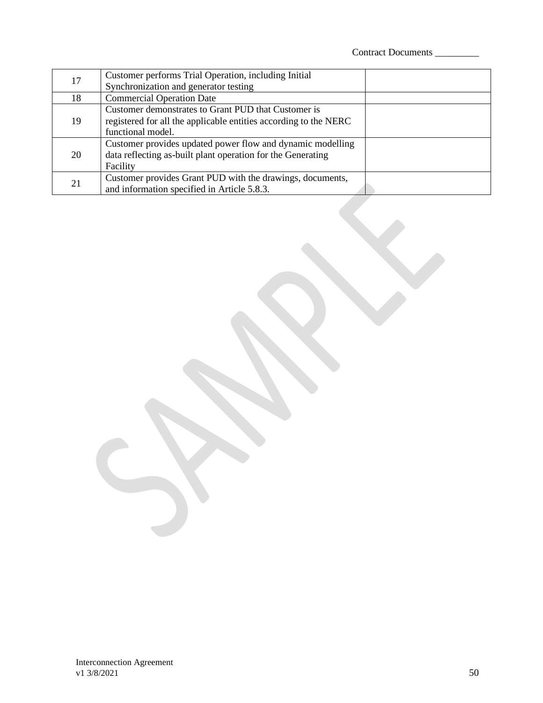| 17 | Customer performs Trial Operation, including Initial<br>Synchronization and generator testing                                                |  |
|----|----------------------------------------------------------------------------------------------------------------------------------------------|--|
| 18 | <b>Commercial Operation Date</b>                                                                                                             |  |
| 19 | Customer demonstrates to Grant PUD that Customer is<br>registered for all the applicable entities according to the NERC<br>functional model. |  |
| 20 | Customer provides updated power flow and dynamic modelling<br>data reflecting as-built plant operation for the Generating<br>Facility        |  |
| 21 | Customer provides Grant PUD with the drawings, documents,<br>and information specified in Article 5.8.3.                                     |  |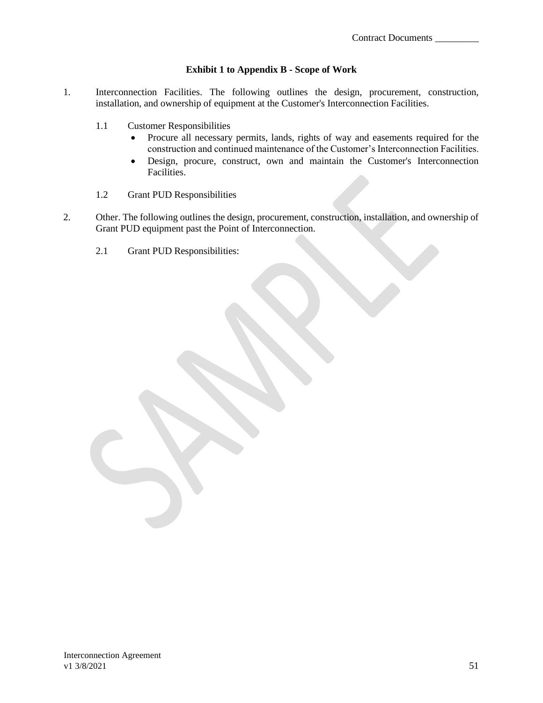#### **Exhibit 1 to Appendix B - Scope of Work**

- 1. Interconnection Facilities. The following outlines the design, procurement, construction, installation, and ownership of equipment at the Customer's Interconnection Facilities.
	- 1.1 Customer Responsibilities
		- Procure all necessary permits, lands, rights of way and easements required for the construction and continued maintenance of the Customer's Interconnection Facilities.
		- Design, procure, construct, own and maintain the Customer's Interconnection Facilities.
	- 1.2 Grant PUD Responsibilities
- 2. Other. The following outlines the design, procurement, construction, installation, and ownership of Grant PUD equipment past the Point of Interconnection.
	- 2.1 Grant PUD Responsibilities: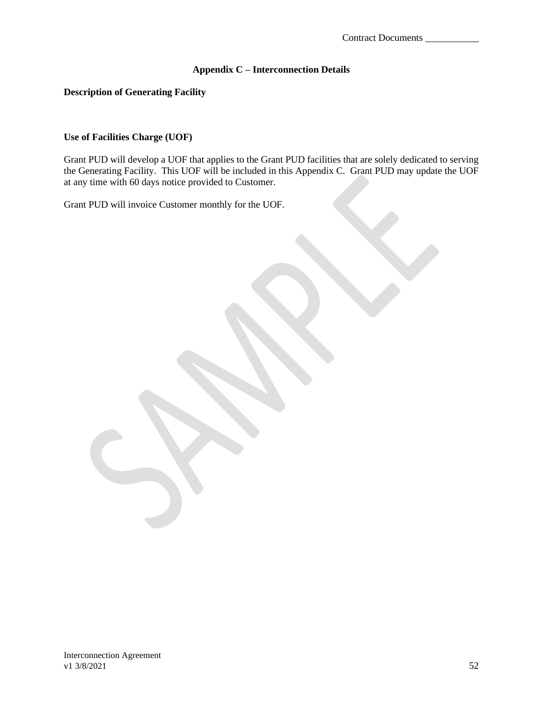## **Appendix C – Interconnection Details**

#### <span id="page-54-0"></span>**Description of Generating Facility**

### **Use of Facilities Charge (UOF)**

Grant PUD will develop a UOF that applies to the Grant PUD facilities that are solely dedicated to serving the Generating Facility. This UOF will be included in this Appendix C. Grant PUD may update the UOF at any time with 60 days notice provided to Customer.

Grant PUD will invoice Customer monthly for the UOF.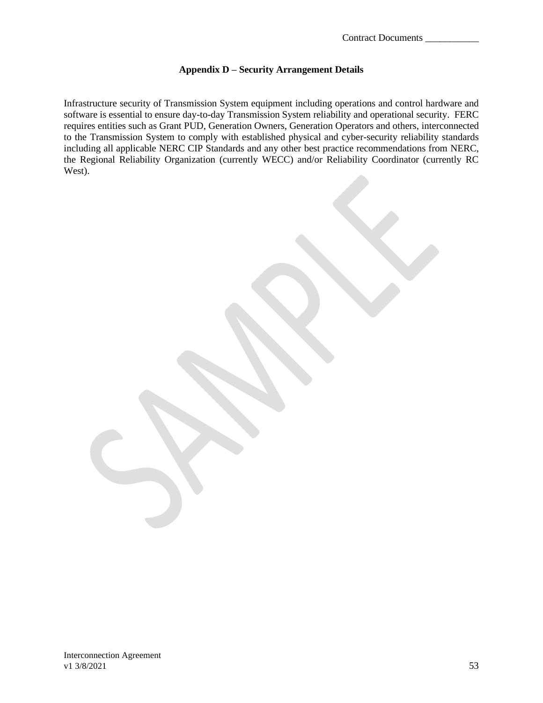### **Appendix D – Security Arrangement Details**

<span id="page-55-0"></span>Infrastructure security of Transmission System equipment including operations and control hardware and software is essential to ensure day-to-day Transmission System reliability and operational security. FERC requires entities such as Grant PUD, Generation Owners, Generation Operators and others, interconnected to the Transmission System to comply with established physical and cyber-security reliability standards including all applicable NERC CIP Standards and any other best practice recommendations from NERC, the Regional Reliability Organization (currently WECC) and/or Reliability Coordinator (currently RC West).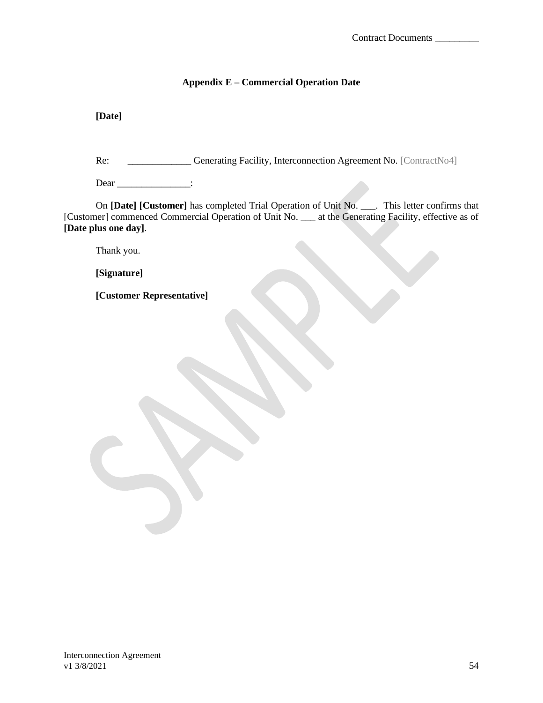## **Appendix E – Commercial Operation Date**

<span id="page-56-0"></span>**[Date]**

Re: \_\_\_\_\_\_\_\_\_\_\_\_\_\_ Generating Facility, Interconnection Agreement No. [ContractNo4]

Dear \_\_\_\_\_\_\_\_\_\_\_\_\_\_\_\_:

On **[Date] [Customer]** has completed Trial Operation of Unit No. \_\_\_. This letter confirms that [Customer] commenced Commercial Operation of Unit No. \_\_\_ at the Generating Facility, effective as of **[Date plus one day]**.

Thank you.

**[Signature]**

**[Customer Representative]**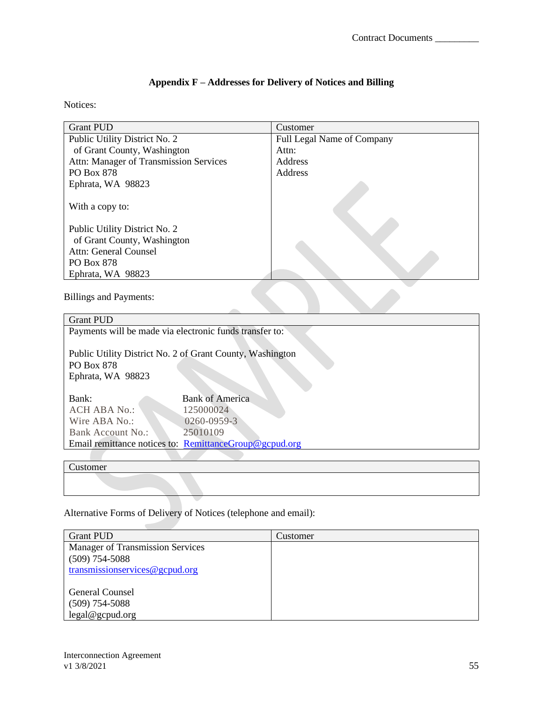## **Appendix F – Addresses for Delivery of Notices and Billing**

## <span id="page-57-0"></span>Notices:

| <b>Grant PUD</b>                       | Customer                          |
|----------------------------------------|-----------------------------------|
| Public Utility District No. 2          | <b>Full Legal Name of Company</b> |
| of Grant County, Washington            | Attn:                             |
| Attn: Manager of Transmission Services | <b>Address</b>                    |
| PO Box 878                             | Address                           |
| Ephrata, WA 98823                      |                                   |
| With a copy to:                        |                                   |
| Public Utility District No. 2          |                                   |
| of Grant County, Washington            |                                   |
| Attn: General Counsel                  |                                   |
| PO Box 878                             |                                   |
| Ephrata, WA 98823                      |                                   |

Billings and Payments:

| <b>Grant PUD</b>                                          |                        |  |  |
|-----------------------------------------------------------|------------------------|--|--|
| Payments will be made via electronic funds transfer to:   |                        |  |  |
|                                                           |                        |  |  |
| Public Utility District No. 2 of Grant County, Washington |                        |  |  |
| <b>PO Box 878</b>                                         |                        |  |  |
| Ephrata, WA 98823                                         |                        |  |  |
|                                                           |                        |  |  |
| Bank:                                                     | <b>Bank of America</b> |  |  |
| <b>ACH ABA No.:</b>                                       | 125000024              |  |  |
| Wire ABA No.:                                             | 0260-0959-3            |  |  |
| Bank Account No.:                                         | 25010109               |  |  |
| Email remittance notices to: RemittanceGroup@gcpud.org    |                        |  |  |
|                                                           |                        |  |  |

Customer

Alternative Forms of Delivery of Notices (telephone and email):

| <b>Grant PUD</b>                        | Customer |
|-----------------------------------------|----------|
| <b>Manager of Transmission Services</b> |          |
| $(509)$ 754-5088                        |          |
| transmissionservices@gcpud.org          |          |
|                                         |          |
| <b>General Counsel</b>                  |          |
| $(509)$ 754-5088                        |          |
| legal@gcpud.org                         |          |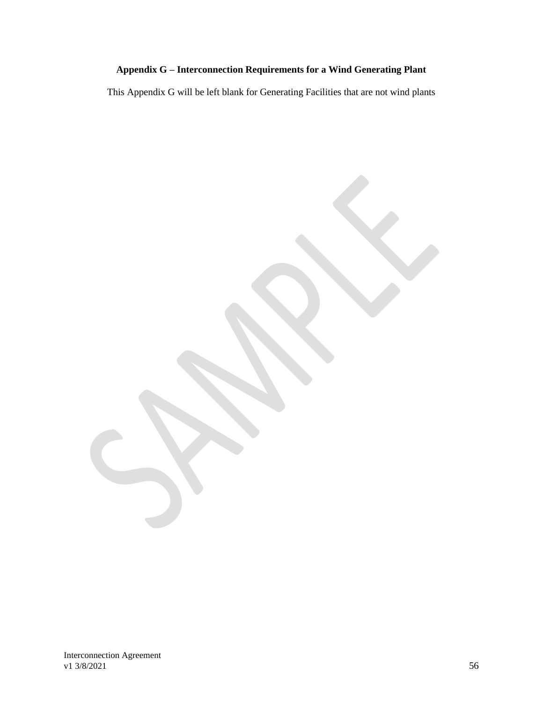# **Appendix G – Interconnection Requirements for a Wind Generating Plant**

<span id="page-58-0"></span>This Appendix G will be left blank for Generating Facilities that are not wind plants

Interconnection Agreement v1 3/8/2021 56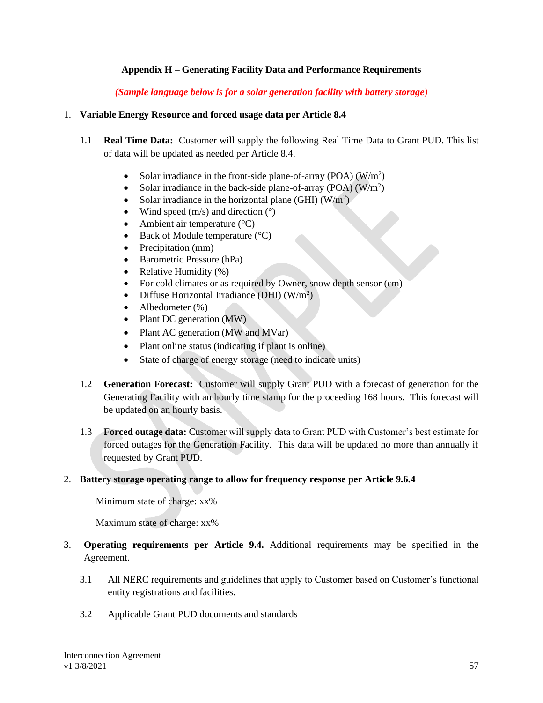## **Appendix H – Generating Facility Data and Performance Requirements**

*(Sample language below is for a solar generation facility with battery storage)*

### <span id="page-59-0"></span>1. **Variable Energy Resource and forced usage data per Article 8.4**

- 1.1 **Real Time Data:** Customer will supply the following Real Time Data to Grant PUD. This list of data will be updated as needed per Article 8.4.
	- Solar irradiance in the front-side plane-of-array (POA)  $(W/m^2)$
	- Solar irradiance in the back-side plane-of-array  $(POA)(W/m^2)$
	- Solar irradiance in the horizontal plane (GHI)  $(W/m^2)$
	- Wind speed  $(m/s)$  and direction  $(°)$
	- Ambient air temperature  $(^{\circ}C)$
	- Back of Module temperature  $(^{\circ}C)$
	- Precipitation (mm)
	- Barometric Pressure (hPa)
	- Relative Humidity  $(\%)$
	- For cold climates or as required by Owner, snow depth sensor (cm)
	- Diffuse Horizontal Irradiance (DHI)  $(W/m^2)$
	- Albedometer (%)
	- Plant DC generation (MW)
	- Plant AC generation (MW and MVar)
	- Plant online status (indicating if plant is online)
	- State of charge of energy storage (need to indicate units)
- 1.2 **Generation Forecast:** Customer will supply Grant PUD with a forecast of generation for the Generating Facility with an hourly time stamp for the proceeding 168 hours. This forecast will be updated on an hourly basis.
- 1.3 **Forced outage data:** Customer will supply data to Grant PUD with Customer's best estimate for forced outages for the Generation Facility. This data will be updated no more than annually if requested by Grant PUD.

### 2. **Battery storage operating range to allow for frequency response per Article 9.6.4**

Minimum state of charge: xx%

Maximum state of charge: xx%

- 3. **Operating requirements per Article 9.4.** Additional requirements may be specified in the Agreement.
	- 3.1 All NERC requirements and guidelines that apply to Customer based on Customer's functional entity registrations and facilities.
	- 3.2 Applicable Grant PUD documents and standards